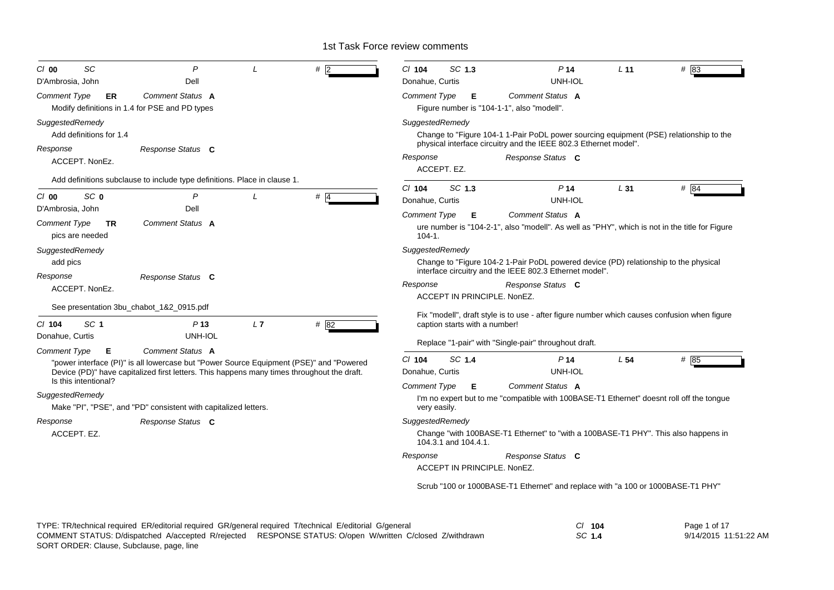| SC<br>$Cl$ 00                                                           | $\overline{P}$                                                                                                                                                                        |          | #                                       | SC 1.3<br>$Cl$ 104                                                                                                                                    | P <sub>14</sub>                                                                                                                                                      | L <sub>11</sub> | $#$ 83 |  |
|-------------------------------------------------------------------------|---------------------------------------------------------------------------------------------------------------------------------------------------------------------------------------|----------|-----------------------------------------|-------------------------------------------------------------------------------------------------------------------------------------------------------|----------------------------------------------------------------------------------------------------------------------------------------------------------------------|-----------------|--------|--|
| D'Ambrosia, John                                                        | Dell                                                                                                                                                                                  |          |                                         | Donahue, Curtis                                                                                                                                       | UNH-IOL                                                                                                                                                              |                 |        |  |
| Comment Type<br>ER.<br>Modify definitions in 1.4 for PSE and PD types   | Comment Status A                                                                                                                                                                      |          |                                         | <b>Comment Type</b><br>Е<br>Figure number is "104-1-1", also "modell".                                                                                | Comment Status A                                                                                                                                                     |                 |        |  |
| SuggestedRemedy<br>Add definitions for 1.4                              |                                                                                                                                                                                       |          |                                         | SuggestedRemedy                                                                                                                                       | Change to "Figure 104-1 1-Pair PoDL power sourcing equipment (PSE) relationship to the<br>physical interface circuitry and the IEEE 802.3 Ethernet model".           |                 |        |  |
| Response<br>ACCEPT. NonEz.                                              | Response Status C                                                                                                                                                                     |          |                                         | Response<br>ACCEPT. EZ.                                                                                                                               | Response Status C                                                                                                                                                    |                 |        |  |
|                                                                         | Add definitions subclause to include type definitions. Place in clause 1.                                                                                                             |          |                                         |                                                                                                                                                       |                                                                                                                                                                      |                 |        |  |
| SC <sub>0</sub><br>C/O                                                  | P                                                                                                                                                                                     | $\prime$ | $#$ 4                                   | SC 1.3<br>$CI$ 104<br>Donahue, Curtis                                                                                                                 | P <sub>14</sub><br>UNH-IOL                                                                                                                                           | L31             | # 84   |  |
| D'Ambrosia, John<br><b>Comment Type</b><br><b>TR</b><br>pics are needed | Dell<br><b>Comment Status A</b>                                                                                                                                                       |          |                                         | Comment Status A<br>Comment Type<br>Е<br>ure number is "104-2-1", also "modell". As well as "PHY", which is not in the title for Figure<br>$104 - 1.$ |                                                                                                                                                                      |                 |        |  |
| SuggestedRemedy<br>add pics<br>Response<br>ACCEPT. NonEz.               | Response Status C                                                                                                                                                                     |          |                                         | SuggestedRemedy<br>Response                                                                                                                           | Change to "Figure 104-2 1-Pair PoDL powered device (PD) relationship to the physical<br>interface circuitry and the IEEE 802.3 Ethernet model".<br>Response Status C |                 |        |  |
| See presentation 3bu_chabot_1&2_0915.pdf                                |                                                                                                                                                                                       |          |                                         | ACCEPT IN PRINCIPLE, NonEZ.                                                                                                                           |                                                                                                                                                                      |                 |        |  |
| SC <sub>1</sub><br>$CI$ 104<br>Donahue, Curtis                          | P <sub>13</sub><br>UNH-IOL                                                                                                                                                            | L7       | # $82$                                  | Fix "modell", draft style is to use - after figure number which causes confusion when figure<br>caption starts with a number!                         |                                                                                                                                                                      |                 |        |  |
| <b>Comment Type</b><br>Е                                                | <b>Comment Status A</b>                                                                                                                                                               |          |                                         |                                                                                                                                                       | Replace "1-pair" with "Single-pair" throughout draft.                                                                                                                |                 |        |  |
|                                                                         | "power interface (PI)" is all lowercase but "Power Source Equipment (PSE)" and "Powered<br>Device (PD)" have capitalized first letters. This happens many times throughout the draft. |          |                                         | SC 1.4<br>CI 104<br>Donahue, Curtis                                                                                                                   | P <sub>14</sub><br>UNH-IOL                                                                                                                                           | L <sub>54</sub> | # 85   |  |
| Is this intentional?<br>SuggestedRemedy                                 | Make "PI", "PSE", and "PD" consistent with capitalized letters.                                                                                                                       |          |                                         | Comment Type<br>Е<br>very easily.                                                                                                                     | Comment Status A<br>I'm no expert but to me "compatible with 100BASE-T1 Ethernet" doesnt roll off the tongue                                                         |                 |        |  |
| Response<br>Response Status C<br>ACCEPT. EZ.                            |                                                                                                                                                                                       |          | SuggestedRemedy<br>104.3.1 and 104.4.1. | Change "with 100BASE-T1 Ethernet" to "with a 100BASE-T1 PHY". This also happens in                                                                    |                                                                                                                                                                      |                 |        |  |
|                                                                         |                                                                                                                                                                                       |          |                                         | Response<br>ACCEPT IN PRINCIPLE, NonEZ.                                                                                                               | Response Status C                                                                                                                                                    |                 |        |  |
|                                                                         |                                                                                                                                                                                       |          |                                         | Scrub "100 or 1000BASE-T1 Ethernet" and replace with "a 100 or 1000BASE-T1 PHY"                                                                       |                                                                                                                                                                      |                 |        |  |

| TYPE: TR/technical required ER/editorial required GR/general required T/technical E/editorial G/general   | 104    | Page 1 of 17          |
|-----------------------------------------------------------------------------------------------------------|--------|-----------------------|
| COMMENT STATUS: D/dispatched A/accepted R/rejected RESPONSE STATUS: O/open W/written C/closed Z/withdrawn | SC 1.4 | 9/14/2015 11:51:22 AM |
| SORT ORDER: Clause, Subclause, page, line                                                                 |        |                       |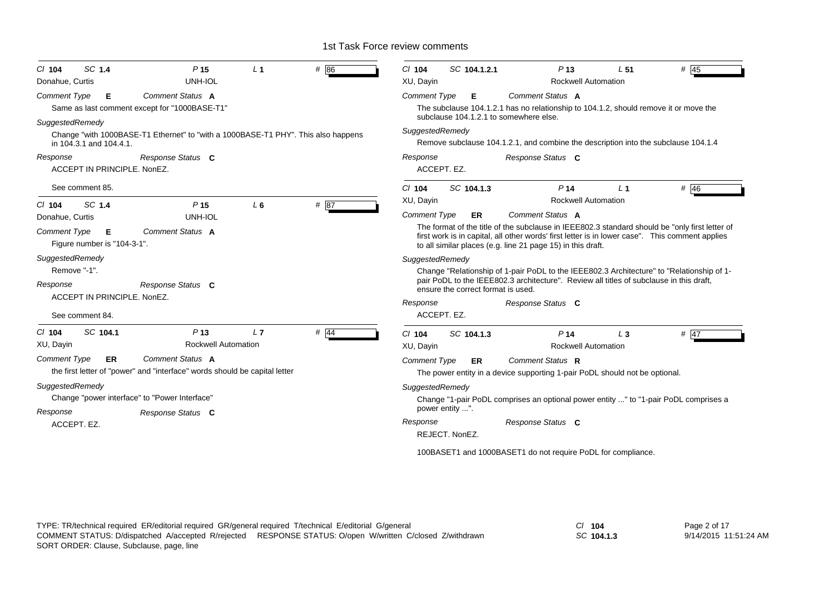| SC 1.4                                                                                                                                                                                                                                                                                            | $#$ 45                                                                                                                                                                                                                                                                                                                                                                                                                                                                                                                                                                                                                    |
|---------------------------------------------------------------------------------------------------------------------------------------------------------------------------------------------------------------------------------------------------------------------------------------------------|---------------------------------------------------------------------------------------------------------------------------------------------------------------------------------------------------------------------------------------------------------------------------------------------------------------------------------------------------------------------------------------------------------------------------------------------------------------------------------------------------------------------------------------------------------------------------------------------------------------------------|
| # 86                                                                                                                                                                                                                                                                                              | $Cl$ 104                                                                                                                                                                                                                                                                                                                                                                                                                                                                                                                                                                                                                  |
| P <sub>15</sub>                                                                                                                                                                                                                                                                                   | SC 104.1.2.1                                                                                                                                                                                                                                                                                                                                                                                                                                                                                                                                                                                                              |
| L <sub>1</sub>                                                                                                                                                                                                                                                                                    | P <sub>13</sub>                                                                                                                                                                                                                                                                                                                                                                                                                                                                                                                                                                                                           |
| $CI$ 104                                                                                                                                                                                                                                                                                          | L <sub>51</sub>                                                                                                                                                                                                                                                                                                                                                                                                                                                                                                                                                                                                           |
| <b>UNH-IOL</b>                                                                                                                                                                                                                                                                                    | <b>Rockwell Automation</b>                                                                                                                                                                                                                                                                                                                                                                                                                                                                                                                                                                                                |
| Donahue, Curtis                                                                                                                                                                                                                                                                                   | XU, Dayin                                                                                                                                                                                                                                                                                                                                                                                                                                                                                                                                                                                                                 |
| Comment Status A                                                                                                                                                                                                                                                                                  | <b>Comment Type</b>                                                                                                                                                                                                                                                                                                                                                                                                                                                                                                                                                                                                       |
| Comment Type                                                                                                                                                                                                                                                                                      | Comment Status A                                                                                                                                                                                                                                                                                                                                                                                                                                                                                                                                                                                                          |
| Е                                                                                                                                                                                                                                                                                                 | Е                                                                                                                                                                                                                                                                                                                                                                                                                                                                                                                                                                                                                         |
| Same as last comment except for "1000BASE-T1"                                                                                                                                                                                                                                                     | The subclause 104.1.2.1 has no relationship to 104.1.2, should remove it or move the                                                                                                                                                                                                                                                                                                                                                                                                                                                                                                                                      |
| SuggestedRemedy                                                                                                                                                                                                                                                                                   | subclause 104.1.2.1 to somewhere else.                                                                                                                                                                                                                                                                                                                                                                                                                                                                                                                                                                                    |
| Change "with 1000BASE-T1 Ethernet" to "with a 1000BASE-T1 PHY". This also happens                                                                                                                                                                                                                 | SuggestedRemedy                                                                                                                                                                                                                                                                                                                                                                                                                                                                                                                                                                                                           |
| in 104.3.1 and 104.4.1.                                                                                                                                                                                                                                                                           | Remove subclause 104.1.2.1, and combine the description into the subclause 104.1.4                                                                                                                                                                                                                                                                                                                                                                                                                                                                                                                                        |
| Response                                                                                                                                                                                                                                                                                          | Response                                                                                                                                                                                                                                                                                                                                                                                                                                                                                                                                                                                                                  |
| Response Status C                                                                                                                                                                                                                                                                                 | Response Status C                                                                                                                                                                                                                                                                                                                                                                                                                                                                                                                                                                                                         |
| ACCEPT IN PRINCIPLE, NonEZ.<br>See comment 85.                                                                                                                                                                                                                                                    | ACCEPT. EZ.<br>SC 104.1.3<br># $46$<br>$Cl$ 104<br>P <sub>14</sub><br>L <sub>1</sub><br><b>Rockwell Automation</b><br>XU, Dayin                                                                                                                                                                                                                                                                                                                                                                                                                                                                                           |
| SC 1.4<br>#87<br>P <sub>15</sub><br>L <sub>6</sub><br>$Cl$ 104<br>UNH-IOL<br>Donahue, Curtis<br>Comment Status A<br><b>Comment Type</b><br>Е<br>Figure number is "104-3-1".<br>SuggestedRemedy<br>Remove "-1".<br>Response Status C<br>Response<br>ACCEPT IN PRINCIPLE, NonEZ.<br>See comment 84. | <b>Comment Status A</b><br><b>Comment Type</b><br>ER<br>The format of the title of the subclause in IEEE802.3 standard should be "only first letter of<br>first work is in capital, all other words' first letter is in lower case". This comment applies<br>to all similar places (e.g. line 21 page 15) in this draft.<br>SuggestedRemedy<br>Change "Relationship of 1-pair PoDL to the IEEE802.3 Architecture" to "Relationship of 1-<br>pair PoDL to the IEEE802.3 architecture". Review all titles of subclause in this draft,<br>ensure the correct format is used.<br>Response<br>Response Status C<br>ACCEPT. EZ. |
| SC 104.1                                                                                                                                                                                                                                                                                          | P <sub>14</sub>                                                                                                                                                                                                                                                                                                                                                                                                                                                                                                                                                                                                           |
| $#$ 44                                                                                                                                                                                                                                                                                            | # $47$                                                                                                                                                                                                                                                                                                                                                                                                                                                                                                                                                                                                                    |
| P <sub>13</sub>                                                                                                                                                                                                                                                                                   | $Cl$ 104                                                                                                                                                                                                                                                                                                                                                                                                                                                                                                                                                                                                                  |
| L7                                                                                                                                                                                                                                                                                                | SC 104.1.3                                                                                                                                                                                                                                                                                                                                                                                                                                                                                                                                                                                                                |
| $CI$ 104                                                                                                                                                                                                                                                                                          | $L_3$                                                                                                                                                                                                                                                                                                                                                                                                                                                                                                                                                                                                                     |
| <b>Rockwell Automation</b>                                                                                                                                                                                                                                                                        | <b>Rockwell Automation</b>                                                                                                                                                                                                                                                                                                                                                                                                                                                                                                                                                                                                |
| XU, Dayin                                                                                                                                                                                                                                                                                         | XU, Dayin                                                                                                                                                                                                                                                                                                                                                                                                                                                                                                                                                                                                                 |
| <b>Comment Type</b>                                                                                                                                                                                                                                                                               | Comment Status R                                                                                                                                                                                                                                                                                                                                                                                                                                                                                                                                                                                                          |
| <b>Comment Status A</b>                                                                                                                                                                                                                                                                           | <b>Comment Type</b>                                                                                                                                                                                                                                                                                                                                                                                                                                                                                                                                                                                                       |
| ER                                                                                                                                                                                                                                                                                                | <b>ER</b>                                                                                                                                                                                                                                                                                                                                                                                                                                                                                                                                                                                                                 |
| the first letter of "power" and "interface" words should be capital letter                                                                                                                                                                                                                        | The power entity in a device supporting 1-pair PoDL should not be optional.                                                                                                                                                                                                                                                                                                                                                                                                                                                                                                                                               |
| SuggestedRemedy<br>Change "power interface" to "Power Interface"<br>Response<br>Response Status C<br>ACCEPT. EZ.                                                                                                                                                                                  | SuggestedRemedy<br>Change "1-pair PoDL comprises an optional power entity " to "1-pair PoDL comprises a<br>power entity ".<br>Response<br>Response Status C<br>REJECT. NonEZ.<br>100BASET1 and 1000BASET1 do not require PoDL for compliance.                                                                                                                                                                                                                                                                                                                                                                             |

*SC* **104.1.3**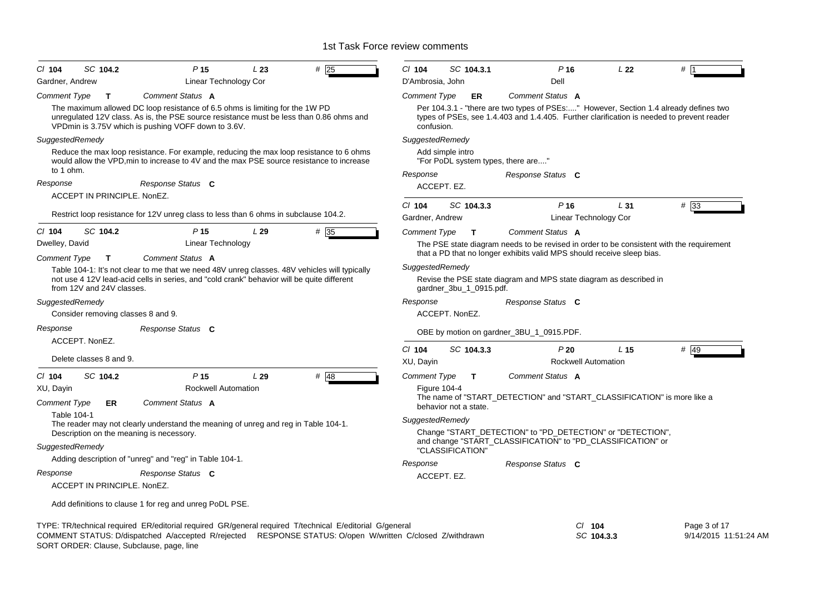| SC 104.2<br>$CI$ 104<br>Gardner, Andrew   | P <sub>15</sub><br>Linear Technology Cor                                                                                                                                                                             | L23 | #25  | CI 104<br>D'Ambrosia, John                                 | SC 104.3.1              | $P$ 16<br>Dell                                                          | L <sub>22</sub>            | #                                                                                         |  |
|-------------------------------------------|----------------------------------------------------------------------------------------------------------------------------------------------------------------------------------------------------------------------|-----|------|------------------------------------------------------------|-------------------------|-------------------------------------------------------------------------|----------------------------|-------------------------------------------------------------------------------------------|--|
|                                           | Comment Status A                                                                                                                                                                                                     |     |      |                                                            |                         | Comment Status A                                                        |                            |                                                                                           |  |
| <b>Comment Type</b><br>$\mathbf T$        | The maximum allowed DC loop resistance of 6.5 ohms is limiting for the 1W PD                                                                                                                                         |     |      | Comment Type                                               | ER                      |                                                                         |                            | Per 104.3.1 - "there are two types of PSEs:" However, Section 1.4 already defines two     |  |
|                                           | unregulated 12V class. As is, the PSE source resistance must be less than 0.86 ohms and<br>VPDmin is 3.75V which is pushing VOFF down to 3.6V.                                                                       |     |      | confusion.                                                 |                         |                                                                         |                            | types of PSEs, see 1.4.403 and 1.4.405. Further clarification is needed to prevent reader |  |
| SuggestedRemedy                           |                                                                                                                                                                                                                      |     |      | SuggestedRemedy                                            |                         |                                                                         |                            |                                                                                           |  |
| to 1 ohm.                                 | Reduce the max loop resistance. For example, reducing the max loop resistance to 6 ohms<br>would allow the VPD, min to increase to 4V and the max PSE source resistance to increase                                  |     |      |                                                            | Add simple intro        | "For PoDL system types, there are"                                      |                            |                                                                                           |  |
|                                           |                                                                                                                                                                                                                      |     |      | Response                                                   |                         | Response Status C                                                       |                            |                                                                                           |  |
| Response                                  | Response Status C                                                                                                                                                                                                    |     |      |                                                            | ACCEPT. EZ.             |                                                                         |                            |                                                                                           |  |
| ACCEPT IN PRINCIPLE. NonEZ.               |                                                                                                                                                                                                                      |     |      | $Cl$ 104                                                   | SC 104.3.3              | P <sub>16</sub>                                                         | L31                        | $#$ 33                                                                                    |  |
|                                           | Restrict loop resistance for 12V unreg class to less than 6 ohms in subclause 104.2.                                                                                                                                 |     |      | Gardner, Andrew                                            |                         |                                                                         | Linear Technology Cor      |                                                                                           |  |
| C/ 104<br>SC 104.2                        | P <sub>15</sub>                                                                                                                                                                                                      | L29 | # 35 | Comment Type                                               | $\mathbf{T}$            | Comment Status A                                                        |                            |                                                                                           |  |
| Dwelley, David                            | Linear Technology                                                                                                                                                                                                    |     |      |                                                            |                         |                                                                         |                            | The PSE state diagram needs to be revised in order to be consistent with the requirement  |  |
| <b>Comment Type</b><br>$\mathbf{T}$       | Comment Status A                                                                                                                                                                                                     |     |      |                                                            |                         | that a PD that no longer exhibits valid MPS should receive sleep bias.  |                            |                                                                                           |  |
|                                           | Table 104-1: It's not clear to me that we need 48V unreg classes. 48V vehicles will typically                                                                                                                        |     |      | SuggestedRemedy                                            |                         |                                                                         |                            |                                                                                           |  |
| from 12V and 24V classes.                 | not use 4 12V lead-acid cells in series, and "cold crank" behavior will be quite different                                                                                                                           |     |      |                                                            | gardner_3bu_1_0915.pdf. | Revise the PSE state diagram and MPS state diagram as described in      |                            |                                                                                           |  |
| SuggestedRemedy                           |                                                                                                                                                                                                                      |     |      | Response                                                   |                         | Response Status C                                                       |                            |                                                                                           |  |
| Consider removing classes 8 and 9.        |                                                                                                                                                                                                                      |     |      |                                                            | ACCEPT. NonEZ.          |                                                                         |                            |                                                                                           |  |
| Response                                  | Response Status C                                                                                                                                                                                                    |     |      |                                                            |                         | OBE by motion on gardner_3BU_1_0915.PDF.                                |                            |                                                                                           |  |
| ACCEPT. NonEZ.                            |                                                                                                                                                                                                                      |     |      | $Cl$ 104                                                   | SC 104.3.3              | P20                                                                     | L <sub>15</sub>            | # 49                                                                                      |  |
| Delete classes 8 and 9.                   |                                                                                                                                                                                                                      |     |      | XU, Dayin                                                  |                         |                                                                         | <b>Rockwell Automation</b> |                                                                                           |  |
| SC 104.2<br>$CI$ 104                      | P <sub>15</sub>                                                                                                                                                                                                      | L29 | # 48 | Comment Type                                               | T                       | Comment Status A                                                        |                            |                                                                                           |  |
| XU, Dayin                                 | <b>Rockwell Automation</b>                                                                                                                                                                                           |     |      |                                                            | <b>Figure 104-4</b>     |                                                                         |                            |                                                                                           |  |
| <b>Comment Type</b><br>ER                 | Comment Status A                                                                                                                                                                                                     |     |      |                                                            | behavior not a state.   | The name of "START_DETECTION" and "START_CLASSIFICATION" is more like a |                            |                                                                                           |  |
| <b>Table 104-1</b>                        | The reader may not clearly understand the meaning of unreg and reg in Table 104-1.                                                                                                                                   |     |      | SuggestedRemedy                                            |                         |                                                                         |                            |                                                                                           |  |
| Description on the meaning is necessory.  |                                                                                                                                                                                                                      |     |      | Change "START_DETECTION" to "PD_DETECTION" or "DETECTION", |                         |                                                                         |                            |                                                                                           |  |
| SuggestedRemedy                           |                                                                                                                                                                                                                      |     |      |                                                            | "CLASSIFICATION"        | and change "START_CLASSIFICATION" to "PD_CLASSIFICATION" or             |                            |                                                                                           |  |
|                                           | Adding description of "unreg" and "reg" in Table 104-1.                                                                                                                                                              |     |      |                                                            |                         |                                                                         |                            |                                                                                           |  |
| Response                                  | Response Status C                                                                                                                                                                                                    |     |      | Response                                                   | ACCEPT. EZ.             | Response Status C                                                       |                            |                                                                                           |  |
| ACCEPT IN PRINCIPLE, NonEZ.               |                                                                                                                                                                                                                      |     |      |                                                            |                         |                                                                         |                            |                                                                                           |  |
|                                           | Add definitions to clause 1 for reg and unreg PoDL PSE.                                                                                                                                                              |     |      |                                                            |                         |                                                                         |                            |                                                                                           |  |
| SORT ORDER: Clause, Subclause, page, line | TYPE: TR/technical required ER/editorial required GR/general required T/technical E/editorial G/general<br>COMMENT STATUS: D/dispatched A/accepted R/rejected RESPONSE STATUS: O/open W/written C/closed Z/withdrawn |     |      |                                                            |                         |                                                                         | $CI$ 104<br>SC 104.3.3     | Page 3 of 17<br>9/14/2015 11:51:24                                                        |  |

9/14/2015 11:51:24 AM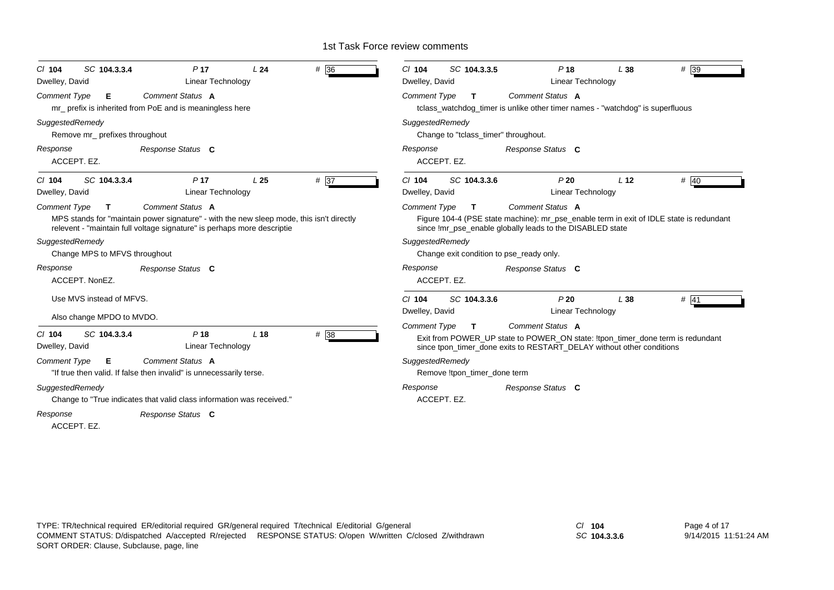| SC 104.3.3.4<br>$CI$ 104<br>Dwelley, David                                                                    | P <sub>17</sub><br>Linear Technology                                                                                                                                                    | L24             | # 36 | $CI$ 104<br>Dwelley, David                                                                                                                                                                                      | SC 104.3.3.5                         | P <sub>18</sub><br>Linear Technology                                                                                                                                     | L38             | $#$ 39 |  |
|---------------------------------------------------------------------------------------------------------------|-----------------------------------------------------------------------------------------------------------------------------------------------------------------------------------------|-----------------|------|-----------------------------------------------------------------------------------------------------------------------------------------------------------------------------------------------------------------|--------------------------------------|--------------------------------------------------------------------------------------------------------------------------------------------------------------------------|-----------------|--------|--|
| Comment Type<br>Е                                                                                             | Comment Status A<br>mr_ prefix is inherited from PoE and is meaningless here                                                                                                            |                 |      | <b>Comment Type</b>                                                                                                                                                                                             | T                                    | <b>Comment Status A</b><br>tclass_watchdog_timer is unlike other timer names - "watchdog" is superfluous                                                                 |                 |        |  |
| SuggestedRemedy<br>Remove mr_ prefixes throughout                                                             |                                                                                                                                                                                         |                 |      | SuggestedRemedy                                                                                                                                                                                                 | Change to "tclass_timer" throughout. |                                                                                                                                                                          |                 |        |  |
| Response<br>ACCEPT. EZ.                                                                                       | Response Status C                                                                                                                                                                       |                 |      | Response<br>ACCEPT. EZ.                                                                                                                                                                                         |                                      | Response Status C                                                                                                                                                        |                 |        |  |
| SC 104.3.3.4<br>$CI$ 104<br>Dwelley, David                                                                    | P <sub>17</sub><br>Linear Technology                                                                                                                                                    | L <sub>25</sub> | # 37 | $Cl$ 104<br>Dwelley, David                                                                                                                                                                                      | SC 104.3.3.6                         | P20<br><b>Linear Technology</b>                                                                                                                                          | L <sub>12</sub> | # $40$ |  |
| <b>Comment Type</b><br>т                                                                                      | Comment Status A<br>MPS stands for "maintain power signature" - with the new sleep mode, this isn't directly<br>relevent - "maintain full voltage signature" is perhaps more descriptie |                 |      | <b>Comment Type</b>                                                                                                                                                                                             | T.                                   | Comment Status A<br>Figure 104-4 (PSE state machine): mr_pse_enable term in exit of IDLE state is redundant<br>since Imr_pse_enable globally leads to the DISABLED state |                 |        |  |
| SuggestedRemedy<br>Change MPS to MFVS throughout                                                              |                                                                                                                                                                                         |                 |      | SuggestedRemedy                                                                                                                                                                                                 |                                      | Change exit condition to pse_ready only.                                                                                                                                 |                 |        |  |
| Response<br>ACCEPT. NonEZ.                                                                                    | Response Status C                                                                                                                                                                       |                 |      | Response<br>ACCEPT. EZ.                                                                                                                                                                                         |                                      | Response Status C                                                                                                                                                        |                 |        |  |
| Use MVS instead of MFVS.<br>Also change MPDO to MVDO.                                                         |                                                                                                                                                                                         |                 |      | $Cl$ 104<br>Dwelley, David                                                                                                                                                                                      | SC 104.3.3.6                         | P20<br>Linear Technology                                                                                                                                                 | L38             | # 41   |  |
| # 38<br>P <sub>18</sub><br>SC 104.3.3.4<br>L <sub>18</sub><br>$CI$ 104<br>Dwelley, David<br>Linear Technology |                                                                                                                                                                                         |                 |      | <b>Comment Type</b><br><b>Comment Status A</b><br>T.<br>Exit from POWER UP state to POWER ON state: Itpon timer done term is redundant<br>since tpon_timer_done exits to RESTART_DELAY without other conditions |                                      |                                                                                                                                                                          |                 |        |  |
| <b>Comment Type</b><br>Е.                                                                                     | Comment Status A<br>"If true then valid. If false then invalid" is unnecessarily terse.                                                                                                 |                 |      | SuggestedRemedy                                                                                                                                                                                                 | Remove !tpon_timer_done term         |                                                                                                                                                                          |                 |        |  |
| SuggestedRemedy                                                                                               | Change to "True indicates that valid class information was received."                                                                                                                   |                 |      | Response<br>ACCEPT. EZ.                                                                                                                                                                                         |                                      | Response Status C                                                                                                                                                        |                 |        |  |
| Response<br>ACCEPT. EZ.                                                                                       | Response Status C                                                                                                                                                                       |                 |      |                                                                                                                                                                                                                 |                                      |                                                                                                                                                                          |                 |        |  |

*SC* **104.3.3.6**

Page 4 of 17 9/14/2015 11:51:24 AM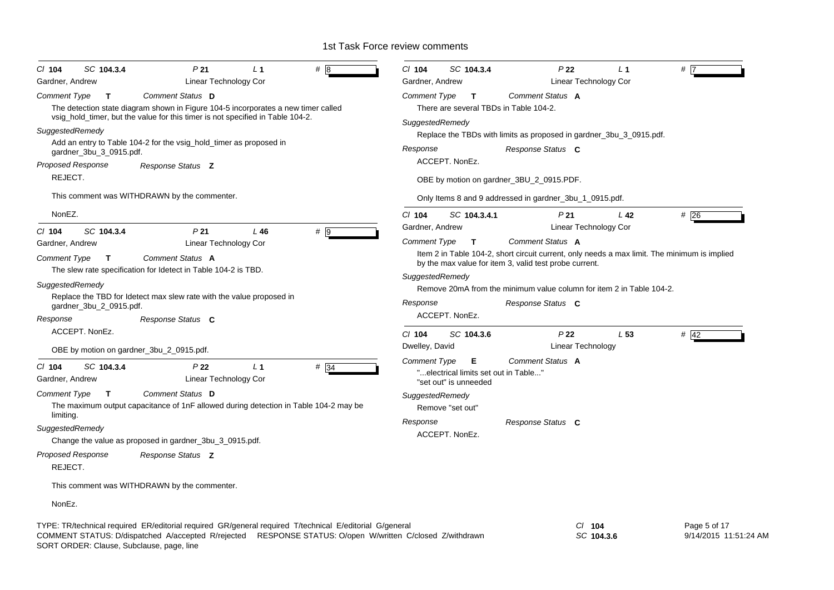| SC 104.3.4<br>P <sub>21</sub><br># 18<br>$CI$ 104<br>L <sub>1</sub>                                                                                                 | $Cl$ 104<br>SC 104.3.4<br>P <sub>22</sub><br># 17<br>L <sub>1</sub>                          |
|---------------------------------------------------------------------------------------------------------------------------------------------------------------------|----------------------------------------------------------------------------------------------|
| Linear Technology Cor<br>Gardner, Andrew                                                                                                                            | Linear Technology Cor<br>Gardner, Andrew                                                     |
| Comment Status D<br><b>Comment Type</b><br>$\mathbf{T}$                                                                                                             | Comment Status A<br><b>Comment Type</b><br>$\mathbf{T}$                                      |
| The detection state diagram shown in Figure 104-5 incorporates a new timer called<br>vsig_hold_timer, but the value for this timer is not specified in Table 104-2. | There are several TBDs in Table 104-2.                                                       |
| SuggestedRemedy                                                                                                                                                     | SuggestedRemedy                                                                              |
| Add an entry to Table 104-2 for the vsig_hold_timer as proposed in                                                                                                  | Replace the TBDs with limits as proposed in gardner_3bu_3_0915.pdf.                          |
| gardner_3bu_3_0915.pdf.                                                                                                                                             | Response<br>Response Status C                                                                |
| Proposed Response<br>Response Status <b>Z</b>                                                                                                                       | ACCEPT. NonEz.                                                                               |
| REJECT.                                                                                                                                                             | OBE by motion on gardner_3BU_2_0915.PDF.                                                     |
| This comment was WITHDRAWN by the commenter.                                                                                                                        | Only Items 8 and 9 addressed in gardner_3bu_1_0915.pdf.                                      |
| NonEZ.                                                                                                                                                              | $Cl$ 104<br>SC 104.3.4.1<br>#26<br>P <sub>21</sub><br>L 42                                   |
| C/ 104<br>SC 104.3.4<br>P <sub>21</sub><br>$L$ 46<br># 9                                                                                                            | Gardner, Andrew<br><b>Linear Technology Cor</b>                                              |
| Gardner, Andrew<br>Linear Technology Cor                                                                                                                            | Comment Status A<br><b>Comment Type</b><br>$\mathbf{T}$                                      |
| Comment Status A<br><b>Comment Type</b><br>$\mathbf{T}$                                                                                                             | Item 2 in Table 104-2, short circuit current, only needs a max limit. The minimum is implied |
| The slew rate specification for Idetect in Table 104-2 is TBD.                                                                                                      | by the max value for item 3, valid test probe current.                                       |
| SuggestedRemedy                                                                                                                                                     | SuggestedRemedy                                                                              |
| Replace the TBD for Idetect max slew rate with the value proposed in                                                                                                | Remove 20mA from the minimum value column for item 2 in Table 104-2.                         |
| gardner_3bu_2_0915.pdf.                                                                                                                                             | Response<br>Response Status C                                                                |
| Response<br>Response Status C                                                                                                                                       | ACCEPT. NonEz.                                                                               |
| ACCEPT. NonEz.                                                                                                                                                      | P <sub>22</sub><br>$Cl$ 104<br>SC 104.3.6<br>L <sub>53</sub><br># $42$                       |
| OBE by motion on gardner_3bu_2_0915.pdf.                                                                                                                            | Linear Technology<br>Dwelley, David                                                          |
| $# \overline{34}$<br>$Cl$ 104<br>SC 104.3.4<br>P <sub>22</sub><br>L <sub>1</sub>                                                                                    | <b>Comment Type</b><br>Comment Status A<br>Е                                                 |
| <b>Linear Technology Cor</b><br>Gardner, Andrew                                                                                                                     | "electrical limits set out in Table"<br>"set out" is unneeded                                |
| Comment Status D<br><b>Comment Type</b><br>$\mathbf{T}$                                                                                                             | SuggestedRemedy                                                                              |
| The maximum output capacitance of 1nF allowed during detection in Table 104-2 may be                                                                                | Remove "set out"                                                                             |
| limiting.                                                                                                                                                           | Response<br>Response Status C                                                                |
| SuggestedRemedy                                                                                                                                                     | ACCEPT. NonEz.                                                                               |
| Change the value as proposed in gardner_3bu_3_0915.pdf.                                                                                                             |                                                                                              |
| <b>Proposed Response</b><br>Response Status Z<br>REJECT.                                                                                                            |                                                                                              |
| This comment was WITHDRAWN by the commenter.                                                                                                                        |                                                                                              |
| NonEz.                                                                                                                                                              |                                                                                              |

TYPE: TR/technical required ER/editorial required GR/general required T/technical E/editorial G/general *Cl* **104** SORT ORDER: Clause, Subclause, page, line COMMENT STATUS: D/dispatched A/accepted R/rejected RESPONSE STATUS: O/open W/written C/closed Z/withdrawn

*SC* **104.3.6**

Page 5 of 17 9/14/2015 11:51:24 AM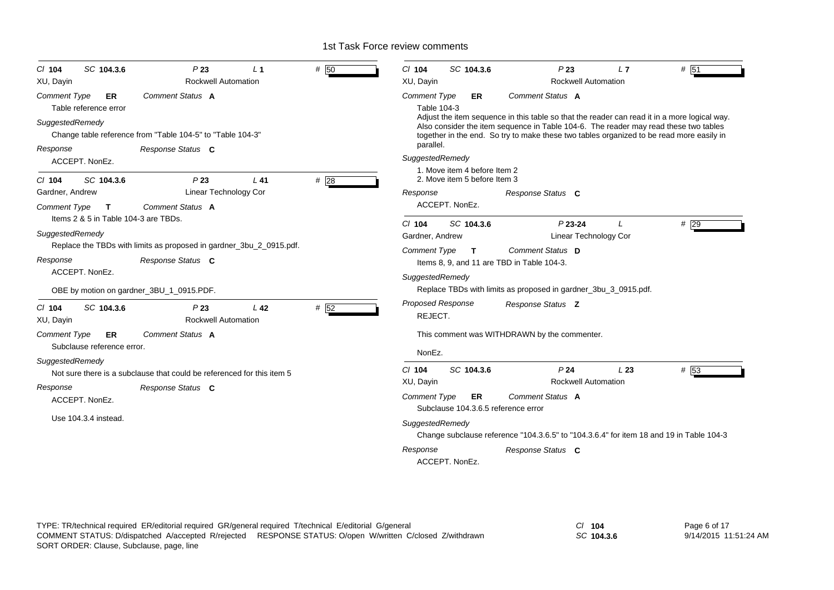| SC 104.3.6<br>$Cl$ 104                                              | P23                                                                    | $\perp$ 1                                  | #<br>50             | $Cl$ 104                                     | SC 104.3.6                                                   | P23                                                                                                                                                                                                                                                                              | L7  | $#$ 51 |  |  |
|---------------------------------------------------------------------|------------------------------------------------------------------------|--------------------------------------------|---------------------|----------------------------------------------|--------------------------------------------------------------|----------------------------------------------------------------------------------------------------------------------------------------------------------------------------------------------------------------------------------------------------------------------------------|-----|--------|--|--|
| XU, Dayin                                                           | <b>Rockwell Automation</b>                                             |                                            |                     | XU, Dayin                                    |                                                              | <b>Rockwell Automation</b>                                                                                                                                                                                                                                                       |     |        |  |  |
| Comment Type<br>ER<br>Table reference error                         | Comment Status A                                                       |                                            |                     | <b>Comment Type</b><br>Table 104-3           | ER                                                           | Comment Status A                                                                                                                                                                                                                                                                 |     |        |  |  |
| SuggestedRemedy                                                     | Change table reference from "Table 104-5" to "Table 104-3"             |                                            |                     |                                              |                                                              | Adjust the item sequence in this table so that the reader can read it in a more logical way.<br>Also consider the item sequence in Table 104-6. The reader may read these two tables<br>together in the end. So try to make these two tables organized to be read more easily in |     |        |  |  |
| Response<br>ACCEPT. NonEz.                                          | Response Status C                                                      |                                            |                     | parallel.<br>SuggestedRemedy                 |                                                              |                                                                                                                                                                                                                                                                                  |     |        |  |  |
| SC 104.3.6<br>$CI$ 104                                              | P23                                                                    | $L$ 41                                     | #28                 |                                              | 1. Move item 4 before Item 2<br>2. Move item 5 before Item 3 |                                                                                                                                                                                                                                                                                  |     |        |  |  |
| Gardner, Andrew                                                     | Linear Technology Cor                                                  |                                            |                     | Response                                     |                                                              | Response Status C                                                                                                                                                                                                                                                                |     |        |  |  |
| <b>Comment Type</b><br>$\mathbf{T}$                                 |                                                                        |                                            | ACCEPT. NonEz.      |                                              |                                                              |                                                                                                                                                                                                                                                                                  |     |        |  |  |
| Items 2 & 5 in Table 104-3 are TBDs.                                |                                                                        |                                            |                     | $Cl$ 104                                     | SC 104.3.6                                                   | $P$ 23-24                                                                                                                                                                                                                                                                        |     | # 29   |  |  |
| SuggestedRemedy                                                     |                                                                        |                                            |                     | Gardner, Andrew                              |                                                              | <b>Linear Technology Cor</b>                                                                                                                                                                                                                                                     |     |        |  |  |
| Replace the TBDs with limits as proposed in gardner_3bu_2_0915.pdf. |                                                                        |                                            |                     |                                              | Comment Status D<br><b>Comment Type</b><br>$\mathbf{T}$      |                                                                                                                                                                                                                                                                                  |     |        |  |  |
| Response                                                            |                                                                        | Items 8, 9, and 11 are TBD in Table 104-3. |                     |                                              |                                                              |                                                                                                                                                                                                                                                                                  |     |        |  |  |
| ACCEPT. NonEz.                                                      |                                                                        |                                            |                     | SuggestedRemedy                              |                                                              |                                                                                                                                                                                                                                                                                  |     |        |  |  |
|                                                                     | OBE by motion on gardner_3BU_1_0915.PDF.                               |                                            |                     |                                              |                                                              | Replace TBDs with limits as proposed in gardner_3bu_3_0915.pdf.                                                                                                                                                                                                                  |     |        |  |  |
| SC 104.3.6<br>$CI$ 104<br>XU, Dayin                                 | P23<br><b>Rockwell Automation</b>                                      | L <sub>42</sub>                            | # $\overline{52}$   | <b>Proposed Response</b><br>REJECT.          |                                                              | Response Status Z                                                                                                                                                                                                                                                                |     |        |  |  |
| <b>Comment Type</b><br>ER<br>Subclause reference error.             | Comment Status A                                                       |                                            |                     | This comment was WITHDRAWN by the commenter. |                                                              |                                                                                                                                                                                                                                                                                  |     |        |  |  |
| SuggestedRemedy                                                     |                                                                        |                                            |                     | NonEz.                                       |                                                              |                                                                                                                                                                                                                                                                                  |     |        |  |  |
|                                                                     | Not sure there is a subclause that could be referenced for this item 5 |                                            |                     | $Cl$ 104                                     | SC 104.3.6                                                   | P <sub>24</sub>                                                                                                                                                                                                                                                                  | L23 | # 53   |  |  |
| Response                                                            | Response Status C                                                      |                                            |                     | <b>Rockwell Automation</b><br>XU, Dayin      |                                                              |                                                                                                                                                                                                                                                                                  |     |        |  |  |
| ACCEPT. NonEz.<br>Use 104.3.4 instead.                              |                                                                        |                                            | <b>Comment Type</b> | ER.<br>Subclause 104.3.6.5 reference error   | Comment Status A                                             |                                                                                                                                                                                                                                                                                  |     |        |  |  |
|                                                                     |                                                                        |                                            |                     | SuggestedRemedy                              |                                                              | Change subclause reference "104.3.6.5" to "104.3.6.4" for item 18 and 19 in Table 104-3                                                                                                                                                                                          |     |        |  |  |
|                                                                     |                                                                        |                                            |                     | Response                                     | ACCEPT. NonEz.                                               | Response Status C                                                                                                                                                                                                                                                                |     |        |  |  |

*SC* **104.3.6**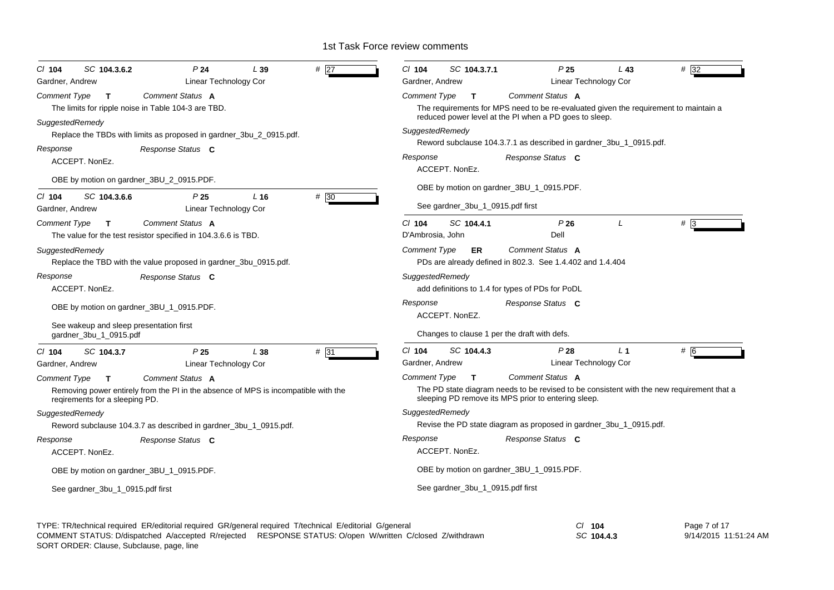| SC 104.3.6.2<br>P24<br>$#$ 27<br>$CI$ 104<br>L39<br>Gardner, Andrew<br>Linear Technology Cor                                                                         | $Cl$ 104<br>SC 104.3.7.1<br>P <sub>25</sub><br>$# \overline{32}$<br>L43<br>Linear Technology Cor<br>Gardner, Andrew                                                                        |
|----------------------------------------------------------------------------------------------------------------------------------------------------------------------|--------------------------------------------------------------------------------------------------------------------------------------------------------------------------------------------|
| Comment Status A<br>Comment Type<br>$\mathbf{T}$                                                                                                                     | Comment Status A<br>Comment Type<br>$\mathsf{T}$                                                                                                                                           |
| The limits for ripple noise in Table 104-3 are TBD.                                                                                                                  | The requirements for MPS need to be re-evaluated given the requirement to maintain a<br>reduced power level at the PI when a PD goes to sleep.                                             |
| SuggestedRemedy<br>Replace the TBDs with limits as proposed in gardner_3bu_2_0915.pdf.                                                                               | SuggestedRemedy<br>Reword subclause 104.3.7.1 as described in gardner_3bu_1_0915.pdf.                                                                                                      |
| Response<br>Response Status C<br>ACCEPT. NonEz.                                                                                                                      | Response<br>Response Status C<br>ACCEPT. NonEz.                                                                                                                                            |
| OBE by motion on gardner_3BU_2_0915.PDF.                                                                                                                             | OBE by motion on gardner_3BU_1_0915.PDF.                                                                                                                                                   |
| #30<br>SC 104.3.6.6<br>$CI$ 104<br>P 25<br>L <sub>16</sub><br>Linear Technology Cor<br>Gardner, Andrew                                                               | See gardner_3bu_1_0915.pdf first                                                                                                                                                           |
| <b>Comment Type</b><br>Comment Status A<br>T.<br>The value for the test resistor specified in 104.3.6.6 is TBD.                                                      | $Cl$ 104<br>SC 104.4.1<br>P26<br>$#$ 3<br>I<br>Dell<br>D'Ambrosia, John                                                                                                                    |
| SuggestedRemedy<br>Replace the TBD with the value proposed in gardner_3bu_0915.pdf.                                                                                  | Comment Status A<br><b>Comment Type</b><br><b>ER</b><br>PDs are already defined in 802.3. See 1.4.402 and 1.4.404                                                                          |
| Response Status C<br>Response<br>ACCEPT. NonEz.                                                                                                                      | SuggestedRemedy<br>add definitions to 1.4 for types of PDs for PoDL                                                                                                                        |
| OBE by motion on gardner_3BU_1_0915.PDF.                                                                                                                             | Response<br>Response Status C<br>ACCEPT. NonEZ.                                                                                                                                            |
| See wakeup and sleep presentation first<br>gardner_3bu_1_0915.pdf                                                                                                    | Changes to clause 1 per the draft with defs.                                                                                                                                               |
| SC 104.3.7<br>P25<br>L 38<br># 31<br>$CI$ 104<br>Gardner, Andrew<br>Linear Technology Cor                                                                            | C/ 104<br>L <sub>1</sub><br>SC 104.4.3<br>P28<br># 6<br>Gardner, Andrew<br>Linear Technology Cor                                                                                           |
| Comment Status A<br><b>Comment Type</b><br>T<br>Removing power entirely from the PI in the absence of MPS is incompatible with the<br>regirements for a sleeping PD. | Comment Status A<br>Comment Type<br>T.<br>The PD state diagram needs to be revised to be consistent with the new requirement that a<br>sleeping PD remove its MPS prior to entering sleep. |
| SuggestedRemedy<br>Reword subclause 104.3.7 as described in gardner_3bu_1_0915.pdf.                                                                                  | SuggestedRemedy<br>Revise the PD state diagram as proposed in gardner_3bu_1_0915.pdf.                                                                                                      |
| Response<br>Response Status C<br>ACCEPT, NonEz.                                                                                                                      | Response<br>Response Status C<br>ACCEPT, NonEz.                                                                                                                                            |
| OBE by motion on gardner_3BU_1_0915.PDF.                                                                                                                             | OBE by motion on gardner_3BU_1_0915.PDF.                                                                                                                                                   |
| See gardner_3bu_1_0915.pdf first                                                                                                                                     | See gardner_3bu_1_0915.pdf first                                                                                                                                                           |
|                                                                                                                                                                      |                                                                                                                                                                                            |

TYPE: TR/technical required ER/editorial required GR/general required T/technical E/editorial G/general *Cl* **104** *SC* **104.4.3** Page 7 of 17 9/14/2015 11:51:24 AM SORT ORDER: Clause, Subclause, page, line COMMENT STATUS: D/dispatched A/accepted R/rejected RESPONSE STATUS: O/open W/written C/closed Z/withdrawn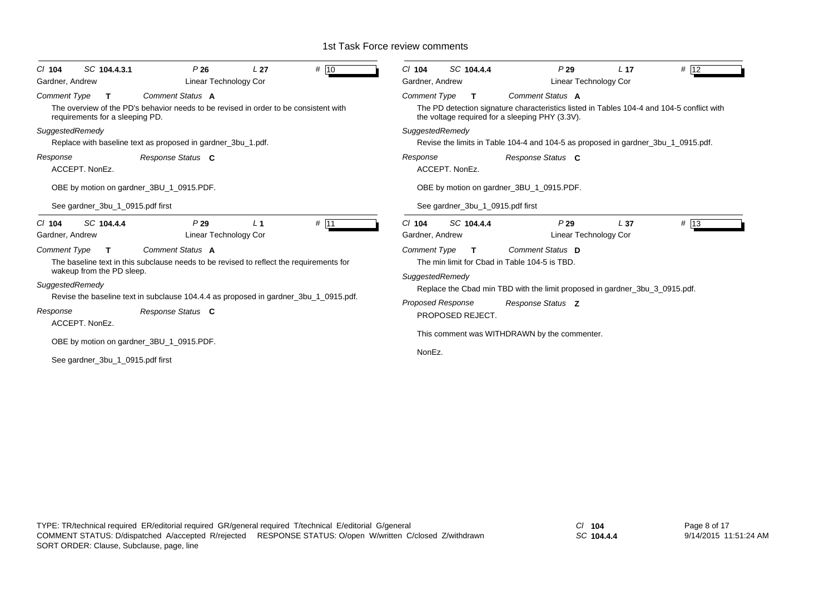| # 10                                                                                                                                                                                                                                                                                       | SC 104.4.4                                                                                                                                                                                                                                       |
|--------------------------------------------------------------------------------------------------------------------------------------------------------------------------------------------------------------------------------------------------------------------------------------------|--------------------------------------------------------------------------------------------------------------------------------------------------------------------------------------------------------------------------------------------------|
| SC 104.4.3.1                                                                                                                                                                                                                                                                               | P29                                                                                                                                                                                                                                              |
| P26                                                                                                                                                                                                                                                                                        | # 12                                                                                                                                                                                                                                             |
| L <sub>27</sub>                                                                                                                                                                                                                                                                            | L <sub>17</sub>                                                                                                                                                                                                                                  |
| $Cl$ 104                                                                                                                                                                                                                                                                                   | $Cl$ 104                                                                                                                                                                                                                                         |
| Linear Technology Cor                                                                                                                                                                                                                                                                      | Gardner, Andrew                                                                                                                                                                                                                                  |
| Gardner, Andrew                                                                                                                                                                                                                                                                            | Linear Technology Cor                                                                                                                                                                                                                            |
| <b>Comment Type</b>                                                                                                                                                                                                                                                                        | <b>Comment Type</b>                                                                                                                                                                                                                              |
| Comment Status A                                                                                                                                                                                                                                                                           | Comment Status A                                                                                                                                                                                                                                 |
| $\mathbf{T}$                                                                                                                                                                                                                                                                               | T                                                                                                                                                                                                                                                |
| The overview of the PD's behavior needs to be revised in order to be consistent with                                                                                                                                                                                                       | The PD detection signature characteristics listed in Tables 104-4 and 104-5 conflict with                                                                                                                                                        |
| requirements for a sleeping PD.                                                                                                                                                                                                                                                            | the voltage required for a sleeping PHY (3.3V).                                                                                                                                                                                                  |
| SuggestedRemedy                                                                                                                                                                                                                                                                            | SuggestedRemedy                                                                                                                                                                                                                                  |
| Replace with baseline text as proposed in gardner_3bu_1.pdf.                                                                                                                                                                                                                               | Revise the limits in Table 104-4 and 104-5 as proposed in gardner_3bu_1_0915.pdf.                                                                                                                                                                |
| Response                                                                                                                                                                                                                                                                                   | Response                                                                                                                                                                                                                                         |
| Response Status C                                                                                                                                                                                                                                                                          | Response Status C                                                                                                                                                                                                                                |
| ACCEPT, NonEz.                                                                                                                                                                                                                                                                             | ACCEPT. NonEz.                                                                                                                                                                                                                                   |
| OBE by motion on gardner_3BU_1_0915.PDF.                                                                                                                                                                                                                                                   | OBE by motion on gardner_3BU_1_0915.PDF.                                                                                                                                                                                                         |
| See gardner 3bu 1 0915.pdf first                                                                                                                                                                                                                                                           | See gardner 3bu 1 0915.pdf first                                                                                                                                                                                                                 |
| SC 104.4.4                                                                                                                                                                                                                                                                                 | SC 104.4.4                                                                                                                                                                                                                                       |
| P29                                                                                                                                                                                                                                                                                        | $Cl$ 104                                                                                                                                                                                                                                         |
| # 111                                                                                                                                                                                                                                                                                      | P29                                                                                                                                                                                                                                              |
| L <sub>1</sub>                                                                                                                                                                                                                                                                             | # 13                                                                                                                                                                                                                                             |
| $CI$ 104                                                                                                                                                                                                                                                                                   | L <sub>37</sub>                                                                                                                                                                                                                                  |
| Linear Technology Cor                                                                                                                                                                                                                                                                      | Gardner, Andrew                                                                                                                                                                                                                                  |
| Gardner, Andrew                                                                                                                                                                                                                                                                            | Linear Technology Cor                                                                                                                                                                                                                            |
| Comment Status A<br><b>Comment Type</b><br>$\mathbf{T}$<br>The baseline text in this subclause needs to be revised to reflect the requirements for<br>wakeup from the PD sleep.<br>SuggestedRemedy<br>Revise the baseline text in subclause 104.4.4 as proposed in gardner_3bu_1_0915.pdf. | Comment Status D<br><b>Comment Type</b><br>T<br>The min limit for Cbad in Table 104-5 is TBD.<br>SuggestedRemedy<br>Replace the Cbad min TBD with the limit proposed in gardner 3bu 3 0915.pdf.<br><b>Proposed Response</b><br>Response Status Z |
| Response<br>Response Status C<br>ACCEPT. NonEz.                                                                                                                                                                                                                                            | PROPOSED REJECT.<br>This comment was WITHDRAWN by the commenter.                                                                                                                                                                                 |
| OBE by motion on gardner_3BU_1_0915.PDF.<br>See gardner_3bu_1_0915.pdf first                                                                                                                                                                                                               | NonEz.                                                                                                                                                                                                                                           |

*SC* **104.4.4**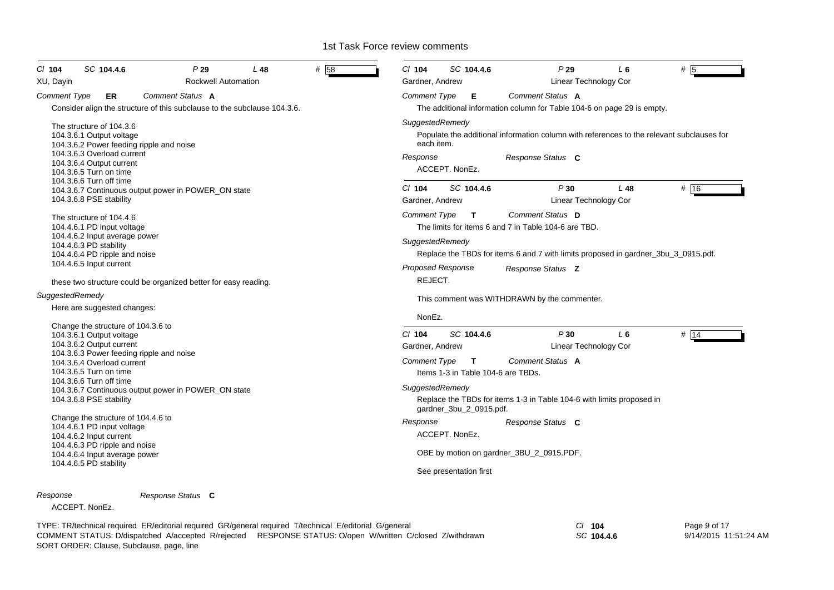| CI 104<br>SC 104.4.6<br>XU, Dayin                                                                                                                                                                                                                                                                    | P29<br>Rockwell Automation                                                                              | L 48                                                                                                                                                                   | # 58                                                                                                                                                                                                                                                                                                                                        | $CI$ 104<br>Gardner, Andrew                        | SC 104.4.6                                                       | P29                                                                                                            | L 6<br>Linear Technology Cor            | # 5          |  |  |
|------------------------------------------------------------------------------------------------------------------------------------------------------------------------------------------------------------------------------------------------------------------------------------------------------|---------------------------------------------------------------------------------------------------------|------------------------------------------------------------------------------------------------------------------------------------------------------------------------|---------------------------------------------------------------------------------------------------------------------------------------------------------------------------------------------------------------------------------------------------------------------------------------------------------------------------------------------|----------------------------------------------------|------------------------------------------------------------------|----------------------------------------------------------------------------------------------------------------|-----------------------------------------|--------------|--|--|
| <b>Comment Type</b><br><b>ER</b>                                                                                                                                                                                                                                                                     | Comment Status A                                                                                        |                                                                                                                                                                        |                                                                                                                                                                                                                                                                                                                                             | <b>Comment Type</b>                                | Е                                                                | Comment Status A                                                                                               |                                         |              |  |  |
|                                                                                                                                                                                                                                                                                                      | Consider align the structure of this subclause to the subclause 104.3.6.                                |                                                                                                                                                                        |                                                                                                                                                                                                                                                                                                                                             |                                                    |                                                                  | The additional information column for Table 104-6 on page 29 is empty.                                         |                                         |              |  |  |
| The structure of 104.3.6<br>104.3.6.1 Output voltage<br>104.3.6.2 Power feeding ripple and noise<br>104.3.6.3 Overload current<br>104.3.6.4 Output current<br>104.3.6.5 Turn on time                                                                                                                 |                                                                                                         |                                                                                                                                                                        |                                                                                                                                                                                                                                                                                                                                             | SuggestedRemedy<br>each item.<br>Response          | ACCEPT. NonEz.                                                   | Populate the additional information column with references to the relevant subclauses for<br>Response Status C |                                         |              |  |  |
| 104.3.6.6 Turn off time<br>104.3.6.7 Continuous output power in POWER_ON state<br>104.3.6.8 PSE stability                                                                                                                                                                                            |                                                                                                         | $CI$ 104<br>Gardner, Andrew                                                                                                                                            | SC 104.4.6                                                                                                                                                                                                                                                                                                                                  | P30                                                | L48<br>Linear Technology Cor                                     | # 16                                                                                                           |                                         |              |  |  |
| The structure of 104.4.6<br>104.4.6.1 PD input voltage<br>104.4.6.2 Input average power<br>104.4.6.3 PD stability                                                                                                                                                                                    |                                                                                                         |                                                                                                                                                                        | Comment Status D<br><b>Comment Type</b><br>T.<br>The limits for items 6 and 7 in Table 104-6 are TBD.<br>SuggestedRemedy<br>Replace the TBDs for items 6 and 7 with limits proposed in gardner_3bu_3_0915.pdf.<br><b>Proposed Response</b><br>Response Status <b>Z</b><br>REJECT.<br>This comment was WITHDRAWN by the commenter.<br>NonEz. |                                                    |                                                                  |                                                                                                                |                                         |              |  |  |
| 104.4.6.4 PD ripple and noise<br>104.4.6.5 Input current<br>these two structure could be organized better for easy reading.                                                                                                                                                                          |                                                                                                         |                                                                                                                                                                        |                                                                                                                                                                                                                                                                                                                                             |                                                    |                                                                  |                                                                                                                |                                         |              |  |  |
| SuggestedRemedy<br>Here are suggested changes:                                                                                                                                                                                                                                                       |                                                                                                         |                                                                                                                                                                        |                                                                                                                                                                                                                                                                                                                                             |                                                    |                                                                  |                                                                                                                |                                         |              |  |  |
| Change the structure of 104.3.6 to<br>104.3.6.1 Output voltage<br>104.3.6.2 Output current<br>104.3.6.4 Overload current<br>104.3.6.5 Turn on time                                                                                                                                                   | 104.3.6.3 Power feeding ripple and noise                                                                |                                                                                                                                                                        |                                                                                                                                                                                                                                                                                                                                             | $CI$ 104<br>Gardner, Andrew<br><b>Comment Type</b> | SC 104.4.6<br>$\mathbf{T}$<br>Items 1-3 in Table 104-6 are TBDs. | P30<br>Comment Status A                                                                                        | L <sub>6</sub><br>Linear Technology Cor | # 14         |  |  |
| 104.3.6.6 Turn off time<br>104.3.6.7 Continuous output power in POWER_ON state<br>104.3.6.8 PSE stability<br>Change the structure of 104.4.6 to<br>104.4.6.1 PD input voltage<br>104.4.6.2 Input current<br>104.4.6.3 PD ripple and noise<br>104.4.6.4 Input average power<br>104.4.6.5 PD stability |                                                                                                         | SuggestedRemedy<br>Replace the TBDs for items 1-3 in Table 104-6 with limits proposed in<br>gardner_3bu_2_0915.pdf.<br>Response<br>Response Status C<br>ACCEPT. NonEz. |                                                                                                                                                                                                                                                                                                                                             |                                                    |                                                                  |                                                                                                                |                                         |              |  |  |
|                                                                                                                                                                                                                                                                                                      |                                                                                                         |                                                                                                                                                                        |                                                                                                                                                                                                                                                                                                                                             |                                                    |                                                                  |                                                                                                                |                                         |              |  |  |
|                                                                                                                                                                                                                                                                                                      |                                                                                                         |                                                                                                                                                                        | See presentation first                                                                                                                                                                                                                                                                                                                      | OBE by motion on gardner_3BU_2_0915.PDF.           |                                                                  |                                                                                                                |                                         |              |  |  |
| Response                                                                                                                                                                                                                                                                                             | Response Status C                                                                                       |                                                                                                                                                                        |                                                                                                                                                                                                                                                                                                                                             |                                                    |                                                                  |                                                                                                                |                                         |              |  |  |
| ACCEPT. NonEz.                                                                                                                                                                                                                                                                                       |                                                                                                         |                                                                                                                                                                        |                                                                                                                                                                                                                                                                                                                                             |                                                    |                                                                  |                                                                                                                |                                         |              |  |  |
|                                                                                                                                                                                                                                                                                                      | TYPE: TR/technical required ER/editorial required GR/general required T/technical E/editorial G/general |                                                                                                                                                                        |                                                                                                                                                                                                                                                                                                                                             |                                                    |                                                                  |                                                                                                                | $CI$ 104                                | Page 9 of 17 |  |  |

*SC* **104.4.6** 9/14/2015 11:51:24 AM SORT ORDER: Clause, Subclause, page, line COMMENT STATUS: D/dispatched A/accepted R/rejected RESPONSE STATUS: O/open W/written C/closed Z/withdrawn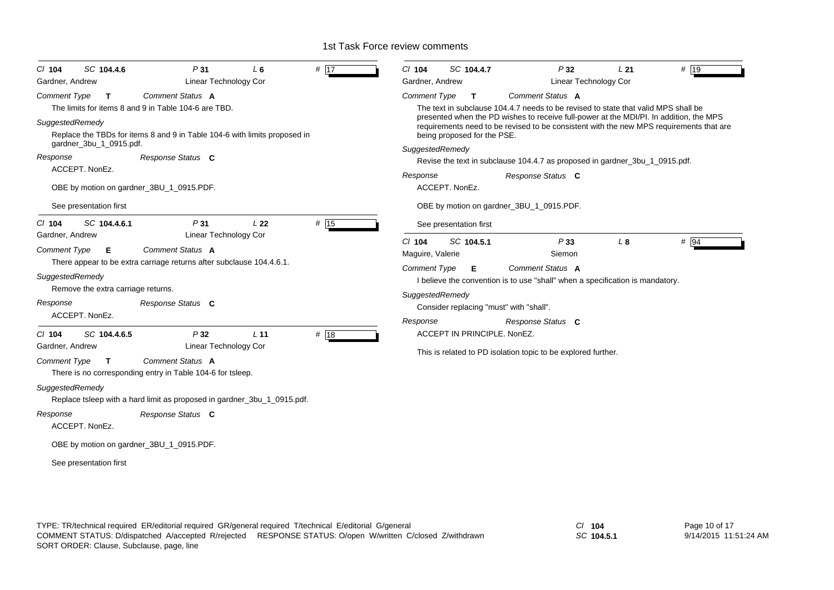| $Cl$ 104                    | SC 104.4.6                         | P31                                                                            | L <sub>6</sub>  | # 17 | $Cl$ 104                                                      | SC 104.4.7                              | P32                                                                                                                                                                               | L <sub>21</sub> | # 19   |
|-----------------------------|------------------------------------|--------------------------------------------------------------------------------|-----------------|------|---------------------------------------------------------------|-----------------------------------------|-----------------------------------------------------------------------------------------------------------------------------------------------------------------------------------|-----------------|--------|
| Gardner, Andrew             |                                    | Linear Technology Cor                                                          |                 |      | Gardner, Andrew                                               |                                         | Linear Technology Cor                                                                                                                                                             |                 |        |
| <b>Comment Type</b>         | T                                  | <b>Comment Status A</b>                                                        |                 |      | <b>Comment Type</b>                                           | $\mathbf{T}$                            | <b>Comment Status A</b>                                                                                                                                                           |                 |        |
|                             |                                    | The limits for items 8 and 9 in Table 104-6 are TBD.                           |                 |      |                                                               |                                         | The text in subclause 104.4.7 needs to be revised to state that valid MPS shall be                                                                                                |                 |        |
| SuggestedRemedy             |                                    | Replace the TBDs for items 8 and 9 in Table 104-6 with limits proposed in      |                 |      |                                                               | being proposed for the PSE.             | presented when the PD wishes to receive full-power at the MDI/PI. In addition, the MPS<br>requirements need to be revised to be consistent with the new MPS requirements that are |                 |        |
|                             | gardner_3bu_1_0915.pdf.            |                                                                                |                 |      | SuggestedRemedy                                               |                                         |                                                                                                                                                                                   |                 |        |
| Response                    |                                    | Response Status C                                                              |                 |      |                                                               |                                         | Revise the text in subclause 104.4.7 as proposed in gardner_3bu_1_0915.pdf.                                                                                                       |                 |        |
|                             | ACCEPT. NonEz.                     |                                                                                |                 |      | Response                                                      |                                         | Response Status C                                                                                                                                                                 |                 |        |
|                             |                                    | OBE by motion on gardner_3BU_1_0915.PDF.                                       |                 |      |                                                               | ACCEPT. NonEz.                          |                                                                                                                                                                                   |                 |        |
|                             | See presentation first             |                                                                                |                 |      |                                                               |                                         | OBE by motion on gardner_3BU_1_0915.PDF.                                                                                                                                          |                 |        |
| $Cl$ 104                    | SC 104.4.6.1                       | P31                                                                            | L <sub>22</sub> | # 15 |                                                               | See presentation first                  |                                                                                                                                                                                   |                 |        |
| Gardner, Andrew             |                                    | Linear Technology Cor                                                          |                 |      | $Cl$ 104                                                      | SC 104.5.1                              | P33                                                                                                                                                                               | $L_{\rm 8}$     | $#$ 94 |
| <b>Comment Type</b>         | Е                                  | Comment Status A                                                               |                 |      | Maguire, Valerie                                              |                                         | Siemon                                                                                                                                                                            |                 |        |
|                             |                                    | There appear to be extra carriage returns after subclause 104.4.6.1.           |                 |      | <b>Comment Type</b>                                           | Е                                       | Comment Status A                                                                                                                                                                  |                 |        |
| SuggestedRemedy             |                                    |                                                                                |                 |      |                                                               |                                         | I believe the convention is to use "shall" when a specification is mandatory.                                                                                                     |                 |        |
|                             | Remove the extra carriage returns. |                                                                                |                 |      | SuggestedRemedy                                               |                                         |                                                                                                                                                                                   |                 |        |
| Response                    |                                    | Response Status C                                                              |                 |      |                                                               | Consider replacing "must" with "shall". |                                                                                                                                                                                   |                 |        |
|                             | ACCEPT. NonEz.                     |                                                                                |                 |      | Response                                                      |                                         | Response Status C                                                                                                                                                                 |                 |        |
| $CI$ 104<br>Gardner, Andrew | SC 104.4.6.5                       | P32<br>Linear Technology Cor                                                   | L <sub>11</sub> | # 18 |                                                               | ACCEPT IN PRINCIPLE. NonEZ.             |                                                                                                                                                                                   |                 |        |
|                             |                                    |                                                                                |                 |      | This is related to PD isolation topic to be explored further. |                                         |                                                                                                                                                                                   |                 |        |
| <b>Comment Type</b>         | T                                  | Comment Status A<br>There is no corresponding entry in Table 104-6 for tsleep. |                 |      |                                                               |                                         |                                                                                                                                                                                   |                 |        |
| SuggestedRemedy             |                                    | Replace tsleep with a hard limit as proposed in gardner_3bu_1_0915.pdf.        |                 |      |                                                               |                                         |                                                                                                                                                                                   |                 |        |
| Response                    | ACCEPT. NonEz.                     | Response Status C                                                              |                 |      |                                                               |                                         |                                                                                                                                                                                   |                 |        |
|                             |                                    | OBE by motion on gardner_3BU_1_0915.PDF.                                       |                 |      |                                                               |                                         |                                                                                                                                                                                   |                 |        |
|                             | See presentation first             |                                                                                |                 |      |                                                               |                                         |                                                                                                                                                                                   |                 |        |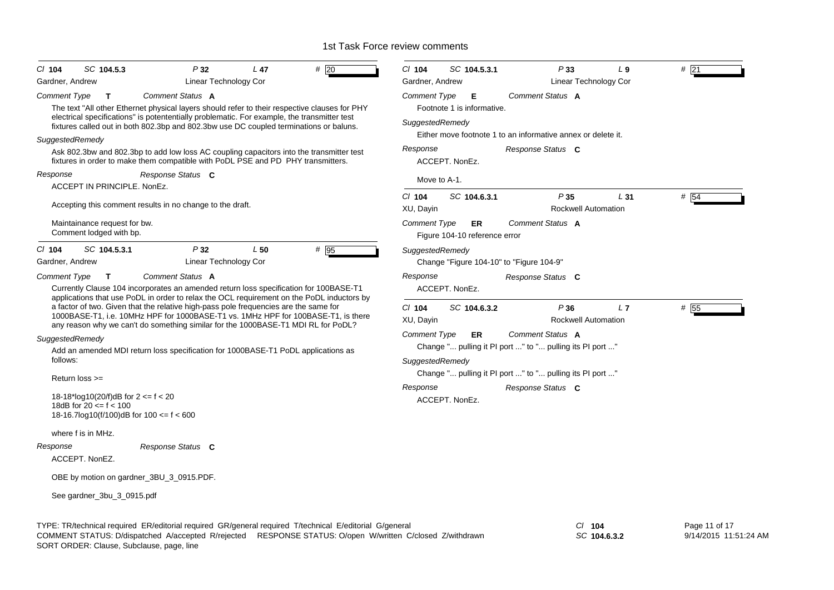| # 20<br>SC 104.5.3<br>P32<br>L <sub>47</sub><br>CI 104                                                                                                                                                                                                                                                                                                                                                                                                                                                                                    | $CI$ 104<br>SC 104.5.3.1<br>P33<br>$L_{9}$<br># 21                                                                                                                                                                                           |
|-------------------------------------------------------------------------------------------------------------------------------------------------------------------------------------------------------------------------------------------------------------------------------------------------------------------------------------------------------------------------------------------------------------------------------------------------------------------------------------------------------------------------------------------|----------------------------------------------------------------------------------------------------------------------------------------------------------------------------------------------------------------------------------------------|
| Linear Technology Cor<br>Gardner, Andrew                                                                                                                                                                                                                                                                                                                                                                                                                                                                                                  | Gardner, Andrew<br><b>Linear Technology Cor</b>                                                                                                                                                                                              |
| Comment Status A<br><b>Comment Type</b><br>T<br>The text "All other Ethernet physical layers should refer to their respective clauses for PHY<br>electrical specifications" is potententially problematic. For example, the transmitter test<br>fixtures called out in both 802.3bp and 802.3bw use DC coupled terminations or baluns.<br>SuggestedRemedy<br>Ask 802.3bw and 802.3bp to add low loss AC coupling capacitors into the transmitter test<br>fixtures in order to make them compatible with PoDL PSE and PD PHY transmitters. | Comment Status A<br><b>Comment Type</b><br>Е<br>Footnote 1 is informative.<br>SuggestedRemedy<br>Either move footnote 1 to an informative annex or delete it.<br>Response<br>Response Status C<br>ACCEPT. NonEz.                             |
| Response Status C<br>Response<br>ACCEPT IN PRINCIPLE, NonEz.                                                                                                                                                                                                                                                                                                                                                                                                                                                                              | Move to A-1.                                                                                                                                                                                                                                 |
| Accepting this comment results in no change to the draft.<br>Maintainance request for bw.<br>Comment lodged with bp.                                                                                                                                                                                                                                                                                                                                                                                                                      | $CI$ 104<br>SC 104.6.3.1<br>P35<br>L31<br># $ 54$<br><b>Rockwell Automation</b><br>XU, Dayin<br>Comment Status A<br><b>Comment Type</b><br>ER.<br>Figure 104-10 reference error                                                              |
| # 95<br>SC 104.5.3.1<br>P32<br>L50<br>CI 104<br>Linear Technology Cor<br>Gardner, Andrew                                                                                                                                                                                                                                                                                                                                                                                                                                                  | SuggestedRemedy<br>Change "Figure 104-10" to "Figure 104-9"                                                                                                                                                                                  |
| Comment Status A<br>Comment Type<br>T<br>Currently Clause 104 incorporates an amended return loss specification for 100BASE-T1<br>applications that use PoDL in order to relax the OCL requirement on the PoDL inductors by                                                                                                                                                                                                                                                                                                               | Response<br>Response Status C<br>ACCEPT. NonEz.                                                                                                                                                                                              |
| a factor of two. Given that the relative high-pass pole frequencies are the same for<br>1000BASE-T1, i.e. 10MHz HPF for 1000BASE-T1 vs. 1MHz HPF for 100BASE-T1, is there<br>any reason why we can't do something similar for the 1000BASE-T1 MDI RL for PoDL?                                                                                                                                                                                                                                                                            | P36<br>L7<br># 55<br>$Cl$ 104<br>SC 104.6.3.2<br>XU, Dayin<br>Rockwell Automation                                                                                                                                                            |
| SuggestedRemedy<br>Add an amended MDI return loss specification for 1000BASE-T1 PoDL applications as<br>follows:<br>Return loss >=<br>18-18*log10(20/f)dB for $2 \le f \le 20$<br>18dB for $20 \le f \le 100$<br>18-16.7log10(f/100)dB for $100 \le f \le 600$                                                                                                                                                                                                                                                                            | <b>Comment Type</b><br>Comment Status A<br>ER.<br>Change " pulling it PI port " to " pulling its PI port "<br>SuggestedRemedy<br>Change " pulling it PI port " to " pulling its PI port "<br>Response<br>Response Status C<br>ACCEPT. NonEz. |
| where f is in MHz.<br>Response Status C<br>Response<br>ACCEPT. NonEZ.                                                                                                                                                                                                                                                                                                                                                                                                                                                                     |                                                                                                                                                                                                                                              |
| OBE by motion on gardner_3BU_3_0915.PDF.                                                                                                                                                                                                                                                                                                                                                                                                                                                                                                  |                                                                                                                                                                                                                                              |
| See gardner_3bu_3_0915.pdf                                                                                                                                                                                                                                                                                                                                                                                                                                                                                                                |                                                                                                                                                                                                                                              |

TYPE: TR/technical required ER/editorial required GR/general required T/technical E/editorial G/general *Cl* **104** SORT ORDER: Clause, Subclause, page, line COMMENT STATUS: D/dispatched A/accepted R/rejected RESPONSE STATUS: O/open W/written C/closed Z/withdrawn

*SC* **104.6.3.2**

Page 11 of 17 9/14/2015 11:51:24 AM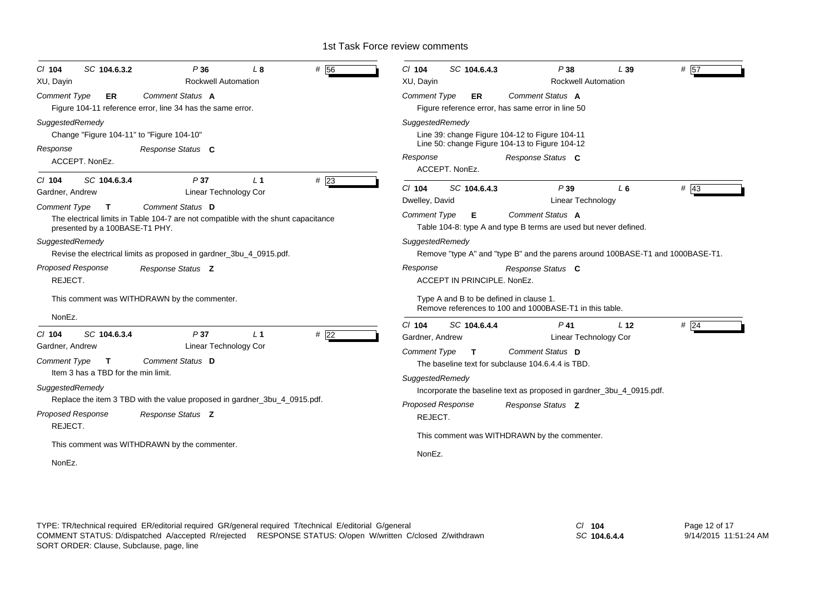| # 56<br>P36<br>SC 104.6.3.2<br>L8<br>$Cl$ 104<br>XU, Dayin<br><b>Rockwell Automation</b>                                                                                | P38<br># 57<br>$Cl$ 104<br>SC 104.6.4.3<br>L39<br>XU, Davin<br><b>Rockwell Automation</b>                           |
|-------------------------------------------------------------------------------------------------------------------------------------------------------------------------|---------------------------------------------------------------------------------------------------------------------|
| <b>Comment Type</b><br>Comment Status A<br>ER<br>Figure 104-11 reference error, line 34 has the same error.                                                             | <b>Comment Type</b><br>Comment Status A<br><b>ER</b><br>Figure reference error, has same error in line 50           |
| SuggestedRemedy<br>Change "Figure 104-11" to "Figure 104-10"<br>Response<br>Response Status C                                                                           | SuggestedRemedy<br>Line 39: change Figure 104-12 to Figure 104-11<br>Line 50: change Figure 104-13 to Figure 104-12 |
| ACCEPT. NonEz.                                                                                                                                                          | Response<br>Response Status C<br>ACCEPT. NonEz.                                                                     |
| $#$ 23<br>SC 104.6.3.4<br>P <sub>37</sub><br>L <sub>1</sub><br>$CI$ 104<br>Linear Technology Cor<br>Gardner, Andrew<br>Comment Status D<br>Comment Type<br>$\mathbf{T}$ | $\#$ 43<br>P39<br>$Cl$ 104<br>SC 104.6.4.3<br>L6<br>Linear Technology<br>Dwelley, David                             |
| The electrical limits in Table 104-7 are not compatible with the shunt capacitance<br>presented by a 100BASE-T1 PHY.                                                    | Comment Status A<br><b>Comment Type</b><br>Е<br>Table 104-8: type A and type B terms are used but never defined.    |
| SuggestedRemedy<br>Revise the electrical limits as proposed in gardner_3bu_4_0915.pdf.                                                                                  | SuggestedRemedy<br>Remove "type A" and "type B" and the parens around 100BASE-T1 and 1000BASE-T1.                   |
| Proposed Response<br>Response Status Z<br>REJECT.                                                                                                                       | Response<br>Response Status C<br>ACCEPT IN PRINCIPLE, NonEz.                                                        |
| This comment was WITHDRAWN by the commenter.<br>NonEz.                                                                                                                  | Type A and B to be defined in clause 1.<br>Remove references to 100 and 1000BASE-T1 in this table.                  |
| # $\overline{22}$<br>SC 104.6.3.4<br>P37<br>$Cl$ 104<br>L <sub>1</sub>                                                                                                  | $Cl$ 104<br>SC 104.6.4.4<br>$P$ 41<br>L <sub>12</sub><br># 24<br>Gardner, Andrew<br>Linear Technology Cor           |
| Linear Technology Cor<br>Gardner, Andrew<br>Comment Status D<br><b>Comment Type</b><br>$\mathbf{T}$<br>Item 3 has a TBD for the min limit.                              | Comment Status D<br><b>Comment Type</b><br>T<br>The baseline text for subclause 104.6.4.4 is TBD.                   |
| SuggestedRemedy                                                                                                                                                         | SuggestedRemedy<br>Incorporate the baseline text as proposed in gardner_3bu_4_0915.pdf.                             |
| Replace the item 3 TBD with the value proposed in gardner_3bu_4_0915.pdf.<br>Proposed Response<br>Response Status Z<br>REJECT.                                          | <b>Proposed Response</b><br>Response Status Z<br>REJECT.                                                            |
| This comment was WITHDRAWN by the commenter.<br>NonEz.                                                                                                                  | This comment was WITHDRAWN by the commenter.<br>NonEz.                                                              |

*SC* **104.6.4.4**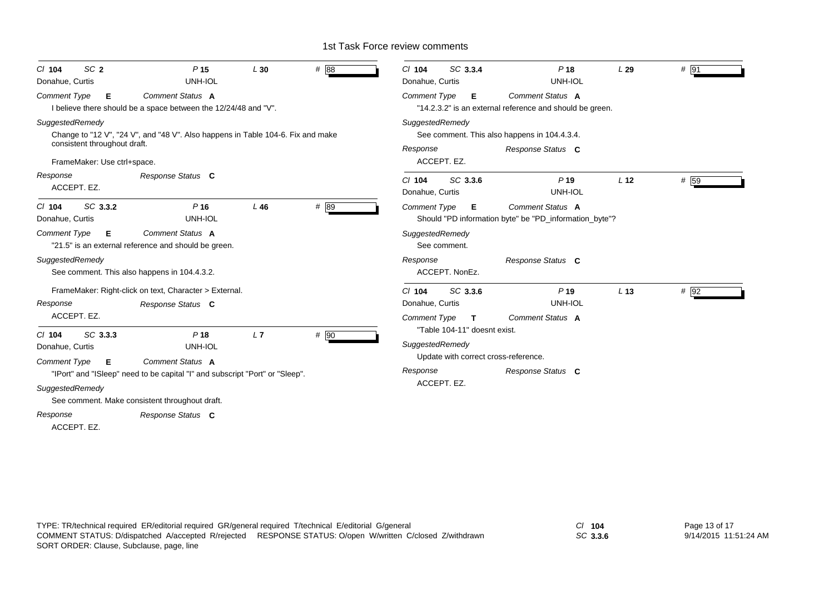| SC <sub>2</sub><br>$CI$ 104<br>Donahue, Curtis                                 | P <sub>15</sub><br>UNH-IOL                                                                                                                         | L30    | # 88 | SC 3.3.4<br>$CI$ 104<br>Donahue, Curtis                                                 | P <sub>18</sub><br>UNH-IOL                                                        | L29             | # 91 |  |
|--------------------------------------------------------------------------------|----------------------------------------------------------------------------------------------------------------------------------------------------|--------|------|-----------------------------------------------------------------------------------------|-----------------------------------------------------------------------------------|-----------------|------|--|
| <b>Comment Type</b><br>Е                                                       | Comment Status A<br>I believe there should be a space between the 12/24/48 and "V".                                                                |        |      | <b>Comment Type</b><br>Е                                                                | Comment Status A<br>"14.2.3.2" is an external reference and should be green.      |                 |      |  |
| SuggestedRemedy<br>consistent throughout draft.<br>FrameMaker: Use ctrl+space. | Change to "12 V", "24 V", and "48 V". Also happens in Table 104-6. Fix and make                                                                    |        |      | SuggestedRemedy<br>Response<br>ACCEPT. EZ.                                              | See comment. This also happens in 104.4.3.4.<br>Response Status C                 |                 |      |  |
| Response<br>ACCEPT. EZ.                                                        | Response Status C                                                                                                                                  |        |      | SC 3.3.6<br>$CI$ 104<br>Donahue, Curtis                                                 | $P$ 19<br>UNH-IOL                                                                 | L <sub>12</sub> | # 59 |  |
| SC 3.3.2<br>$CI$ 104<br>Donahue, Curtis                                        | $P$ 16<br>UNH-IOL                                                                                                                                  | $L$ 46 | #89  | <b>Comment Type</b><br>Е                                                                | <b>Comment Status A</b><br>Should "PD information byte" be "PD_information_byte"? |                 |      |  |
| <b>Comment Type</b><br>Е                                                       | Comment Status A<br>"21.5" is an external reference and should be green.                                                                           |        |      | SuggestedRemedy<br>See comment.                                                         |                                                                                   |                 |      |  |
| SuggestedRemedy                                                                | See comment. This also happens in 104.4.3.2.                                                                                                       |        |      | Response<br>ACCEPT. NonEz.                                                              | Response Status C                                                                 |                 |      |  |
| Response<br>ACCEPT. EZ.                                                        | FrameMaker: Right-click on text, Character > External.<br>Response Status C                                                                        |        |      | SC 3.3.6<br>$Cl$ 104<br>Donahue, Curtis<br><b>Comment Type</b><br>T.                    | P <sub>19</sub><br>UNH-IOL<br>Comment Status A                                    | L <sub>13</sub> | # 92 |  |
| SC 3.3.3<br>$CI$ 104<br>Donahue, Curtis                                        | P <sub>18</sub><br>UNH-IOL                                                                                                                         | L7     | # 90 | "Table 104-11" doesnt exist.<br>SuggestedRemedy<br>Update with correct cross-reference. |                                                                                   |                 |      |  |
| <b>Comment Type</b><br>Е<br>SuggestedRemedy                                    | Comment Status A<br>"IPort" and "ISleep" need to be capital "I" and subscript "Port" or "Sleep".<br>See comment. Make consistent throughout draft. |        |      | Response<br>ACCEPT. EZ.                                                                 | Response Status C                                                                 |                 |      |  |
| Response<br>ACCEPT. EZ.                                                        | Response Status C                                                                                                                                  |        |      |                                                                                         |                                                                                   |                 |      |  |

*SC* **3.3.6**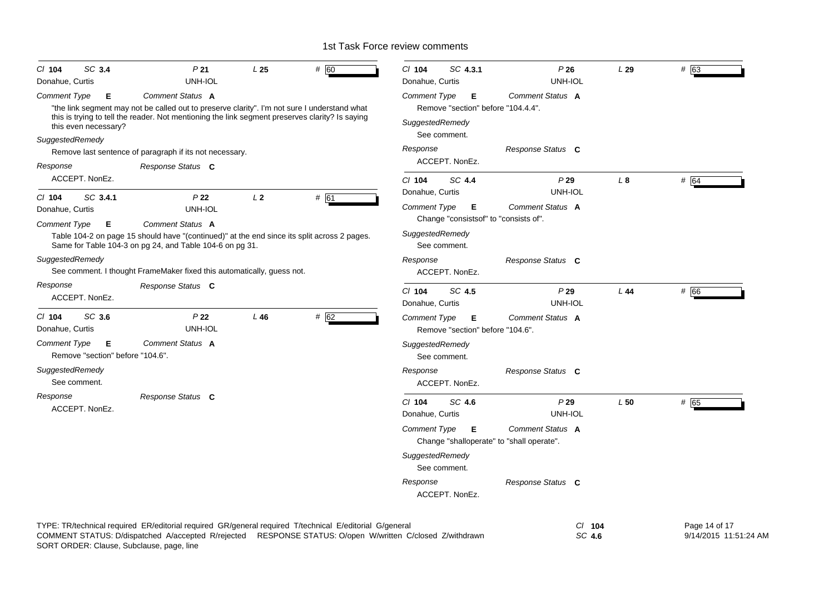| SC 3.4<br>$CI$ 104<br>Donahue, Curtis                        | P <sub>21</sub><br>UNH-IOL                                                                                                                                                                                           | L <sub>25</sub> | # 60 | C/ 104<br>SC 4.3.1<br>Donahue, Curtis                                             | P26<br>UNH-IOL                                                       | L29 | # 63                                   |
|--------------------------------------------------------------|----------------------------------------------------------------------------------------------------------------------------------------------------------------------------------------------------------------------|-----------------|------|-----------------------------------------------------------------------------------|----------------------------------------------------------------------|-----|----------------------------------------|
| <b>Comment Type</b><br>Е                                     | Comment Status A<br>"the link segment may not be called out to preserve clarity". I'm not sure I understand what<br>this is trying to tell the reader. Not mentioning the link segment preserves clarity? Is saying  |                 |      | <b>Comment Type</b><br>E<br>Remove "section" before "104.4.4".<br>SuggestedRemedy | Comment Status A                                                     |     |                                        |
| this even necessary?<br>SuggestedRemedy                      |                                                                                                                                                                                                                      |                 |      | See comment.                                                                      |                                                                      |     |                                        |
|                                                              | Remove last sentence of paragraph if its not necessary.                                                                                                                                                              |                 |      | Response                                                                          | Response Status C                                                    |     |                                        |
| Response                                                     | Response Status C                                                                                                                                                                                                    |                 |      | ACCEPT. NonEz.                                                                    |                                                                      |     |                                        |
| ACCEPT. NonEz.                                               |                                                                                                                                                                                                                      |                 |      | $Cl$ 104<br>SC 4.4                                                                | P29                                                                  | L8  | # 64                                   |
| SC 3.4.1<br>$CI$ 104                                         | P22                                                                                                                                                                                                                  | L <sub>2</sub>  | # 61 | Donahue, Curtis                                                                   | UNH-IOL                                                              |     |                                        |
| Donahue, Curtis                                              | UNH-IOL                                                                                                                                                                                                              |                 |      | Comment Type<br>E<br>Change "consists of" to "consists of".                       | Comment Status A                                                     |     |                                        |
| <b>Comment Type</b><br>Е                                     | Comment Status A<br>Table 104-2 on page 15 should have "(continued)" at the end since its split across 2 pages.<br>Same for Table 104-3 on pg 24, and Table 104-6 on pg 31.                                          |                 |      | SuggestedRemedy<br>See comment.                                                   |                                                                      |     |                                        |
| SuggestedRemedy                                              | See comment. I thought FrameMaker fixed this automatically, guess not.                                                                                                                                               |                 |      | Response<br>ACCEPT. NonEz.                                                        | Response Status C                                                    |     |                                        |
| Response<br>ACCEPT. NonEz.                                   | Response Status C                                                                                                                                                                                                    |                 |      | SC 4.5<br>$CI$ 104<br>Donahue, Curtis                                             | P29<br>UNH-IOL                                                       | L44 | # 66                                   |
| SC 3.6<br>$Cl$ 104<br>Donahue, Curtis                        | P <sub>22</sub><br>UNH-IOL                                                                                                                                                                                           | L46             | # 62 | Comment Type<br>Е<br>Remove "section" before "104.6".                             | Comment Status A                                                     |     |                                        |
| <b>Comment Type</b><br>Е<br>Remove "section" before "104.6". | Comment Status A                                                                                                                                                                                                     |                 |      | SuggestedRemedy<br>See comment.                                                   |                                                                      |     |                                        |
| SuggestedRemedy<br>See comment.                              |                                                                                                                                                                                                                      |                 |      | Response<br>ACCEPT. NonEz.                                                        | Response Status C                                                    |     |                                        |
| Response<br>ACCEPT. NonEz.                                   | Response Status C                                                                                                                                                                                                    |                 |      | $Cl$ 104<br>SC 4.6<br>Donahue, Curtis                                             | P29<br>UNH-IOL                                                       | L50 | # 65                                   |
|                                                              |                                                                                                                                                                                                                      |                 |      | Comment Type<br>- E                                                               | <b>Comment Status A</b><br>Change "shalloperate" to "shall operate". |     |                                        |
|                                                              |                                                                                                                                                                                                                      |                 |      | SuggestedRemedy<br>See comment.                                                   |                                                                      |     |                                        |
|                                                              |                                                                                                                                                                                                                      |                 |      | Response<br>ACCEPT. NonEz.                                                        | Response Status C                                                    |     |                                        |
| SORT ORDER: Clause, Subclause, page, line                    | TYPE: TR/technical required ER/editorial required GR/general required T/technical E/editorial G/general<br>COMMENT STATUS: D/dispatched A/accepted R/rejected RESPONSE STATUS: O/open W/written C/closed Z/withdrawn |                 |      |                                                                                   | C/ 104<br>SC 4.6                                                     |     | Page 14 of 17<br>9/14/2015 11:51:24 AM |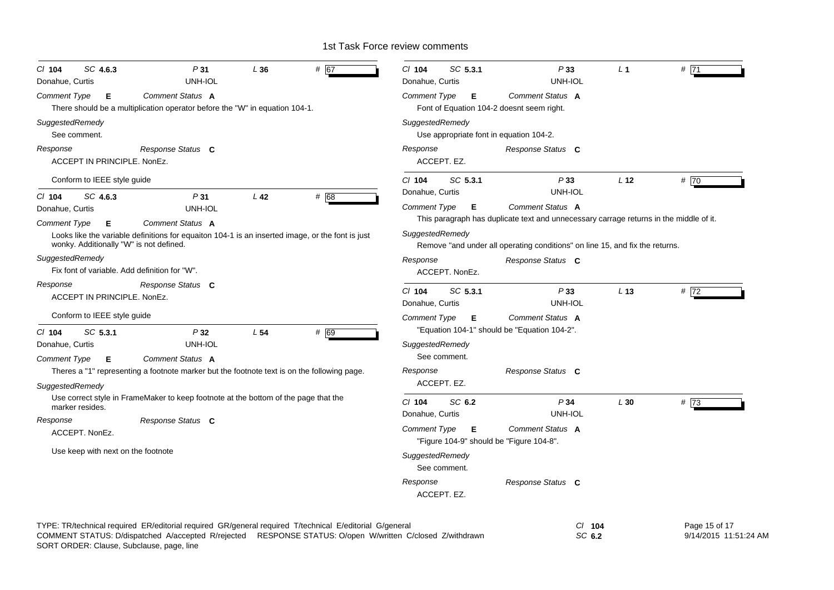| SC 4.6.3<br>P31<br>L36<br>$CI$ 104<br>UNH-IOL<br>Donahue, Curtis                                                                                                                                                     | # 67 | SC 5.3.1<br>$Cl$ 104<br>Donahue, Curtis                              | P33<br>UNH-IOL                                                                         | L <sub>1</sub>  | #71                                    |
|----------------------------------------------------------------------------------------------------------------------------------------------------------------------------------------------------------------------|------|----------------------------------------------------------------------|----------------------------------------------------------------------------------------|-----------------|----------------------------------------|
| Comment Status A<br><b>Comment Type</b><br>Е                                                                                                                                                                         |      | <b>Comment Type</b><br>E                                             | Comment Status A                                                                       |                 |                                        |
| There should be a multiplication operator before the "W" in equation 104-1.                                                                                                                                          |      | Font of Equation 104-2 doesnt seem right.                            |                                                                                        |                 |                                        |
| SuggestedRemedy<br>See comment.                                                                                                                                                                                      |      | SuggestedRemedy<br>Use appropriate font in equation 104-2.           |                                                                                        |                 |                                        |
| Response<br>Response Status C<br>ACCEPT IN PRINCIPLE, NonEz.                                                                                                                                                         |      | Response<br>ACCEPT. EZ.                                              | Response Status C                                                                      |                 |                                        |
| Conform to IEEE style guide                                                                                                                                                                                          |      | SC 5.3.1<br>$CI$ 104                                                 | P33                                                                                    | L <sub>12</sub> | # 70                                   |
| SC 4.6.3<br>P31<br>L <sub>42</sub><br>$Cl$ 104                                                                                                                                                                       | # 68 | Donahue, Curtis                                                      | UNH-IOL                                                                                |                 |                                        |
| UNH-IOL<br>Donahue, Curtis                                                                                                                                                                                           |      | <b>Comment Type</b><br>Е                                             | Comment Status A                                                                       |                 |                                        |
| Comment Status A<br>Comment Type<br>Е                                                                                                                                                                                |      |                                                                      | This paragraph has duplicate text and unnecessary carrage returns in the middle of it. |                 |                                        |
| Looks like the variable definitions for equaiton 104-1 is an inserted image, or the font is just<br>wonky. Additionally "W" is not defined.                                                                          |      | SuggestedRemedy                                                      | Remove "and under all operating conditions" on line 15, and fix the returns.           |                 |                                        |
| SuggestedRemedy                                                                                                                                                                                                      |      | Response                                                             | Response Status C                                                                      |                 |                                        |
| Fix font of variable. Add definition for "W".                                                                                                                                                                        |      | ACCEPT. NonEz.                                                       |                                                                                        |                 |                                        |
| Response Status C<br>Response<br>ACCEPT IN PRINCIPLE. NonEz.                                                                                                                                                         |      | $CI$ 104<br>SC 5.3.1<br>Donahue, Curtis                              | P33<br>UNH-IOL                                                                         | L <sub>13</sub> | #72                                    |
| Conform to IEEE style guide                                                                                                                                                                                          |      | Comment Type<br>Е                                                    | Comment Status A                                                                       |                 |                                        |
| $CI$ 104<br>SC 5.3.1<br>P32<br>L <sub>54</sub>                                                                                                                                                                       | # 69 |                                                                      | "Equation 104-1" should be "Equation 104-2".                                           |                 |                                        |
| UNH-IOL<br>Donahue, Curtis                                                                                                                                                                                           |      | SuggestedRemedy                                                      |                                                                                        |                 |                                        |
| Comment Status A<br><b>Comment Type</b><br>Е                                                                                                                                                                         |      | See comment.                                                         |                                                                                        |                 |                                        |
| Theres a "1" representing a footnote marker but the footnote text is on the following page.                                                                                                                          |      | Response                                                             | Response Status C                                                                      |                 |                                        |
| SuggestedRemedy                                                                                                                                                                                                      |      | ACCEPT. EZ.                                                          |                                                                                        |                 |                                        |
| Use correct style in FrameMaker to keep footnote at the bottom of the page that the<br>marker resides.                                                                                                               |      | C/ 104<br>SC 6.2<br>Donahue, Curtis                                  | P34<br><b>UNH-IOL</b>                                                                  | L30             | #73                                    |
| Response<br>Response Status C                                                                                                                                                                                        |      |                                                                      | Comment Status A                                                                       |                 |                                        |
| ACCEPT. NonEz.                                                                                                                                                                                                       |      | <b>Comment Type</b><br>Е<br>"Figure 104-9" should be "Figure 104-8". |                                                                                        |                 |                                        |
| Use keep with next on the footnote                                                                                                                                                                                   |      | SuggestedRemedy<br>See comment.                                      |                                                                                        |                 |                                        |
|                                                                                                                                                                                                                      |      | Response<br>ACCEPT. EZ.                                              | Response Status C                                                                      |                 |                                        |
| TYPE: TR/technical required ER/editorial required GR/general required T/technical E/editorial G/general<br>COMMENT STATUS: D/dispatched A/accepted R/rejected RESPONSE STATUS: O/open W/written C/closed Z/withdrawn |      |                                                                      | СI<br>SC 6.2                                                                           | 104             | Page 15 of 17<br>9/14/2015 11:51:24 AM |

SORT ORDER: Clause, Subclause, page, line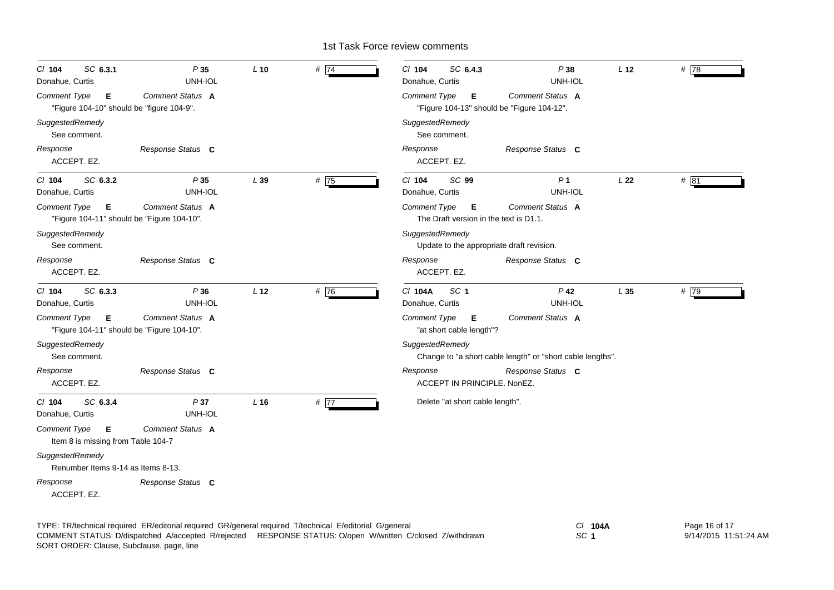| SC 6.3.1<br>P35<br>$Cl$ 104<br>Donahue, Curtis<br>UNH-IOL                           | $L$ 10          | # $\overline{74}$ | $Cl$ 104<br>SC 6.4.3<br>Donahue, Curtis                         | P38<br>UNH-IOL                                             | L <sub>12</sub> | #78  |
|-------------------------------------------------------------------------------------|-----------------|-------------------|-----------------------------------------------------------------|------------------------------------------------------------|-----------------|------|
| Comment Status A<br>Comment Type<br>Е<br>"Figure 104-10" should be "figure 104-9".  |                 |                   | Comment Type<br>Е<br>"Figure 104-13" should be "Figure 104-12". | Comment Status A                                           |                 |      |
| SuggestedRemedy<br>See comment.                                                     |                 |                   | SuggestedRemedy<br>See comment.                                 |                                                            |                 |      |
| Response<br>Response Status C<br>ACCEPT. EZ.                                        |                 |                   | Response<br>ACCEPT. EZ.                                         | Response Status C                                          |                 |      |
| SC 6.3.2<br>P35<br>$Cl$ 104<br>Donahue, Curtis<br>UNH-IOL                           | L 39            | #75               | SC 99<br>$Cl$ 104<br>Donahue, Curtis                            | P <sub>1</sub><br>UNH-IOL                                  | L22             | # 81 |
| Comment Type<br>Comment Status A<br>Е<br>"Figure 104-11" should be "Figure 104-10". |                 |                   | Comment Type<br>E<br>The Draft version in the text is D1.1.     | Comment Status A                                           |                 |      |
| SuggestedRemedy<br>See comment.                                                     |                 |                   | SuggestedRemedy<br>Update to the appropriate draft revision.    |                                                            |                 |      |
| Response<br>Response Status C<br>ACCEPT. EZ.                                        |                 |                   | Response<br>ACCEPT. EZ.                                         | Response Status C                                          |                 |      |
| SC 6.3.3<br>P36<br>$Cl$ 104<br>UNH-IOL<br>Donahue, Curtis                           | L <sub>12</sub> | # 76              | SC <sub>1</sub><br>C/ 104A<br>Donahue, Curtis                   | $P$ 42<br>UNH-IOL                                          | L35             | # 79 |
| Comment Status A<br>Comment Type<br>Е<br>"Figure 104-11" should be "Figure 104-10". |                 |                   | <b>Comment Type</b><br>Е<br>"at short cable length"?            | Comment Status A                                           |                 |      |
| SuggestedRemedy<br>See comment.                                                     |                 |                   | SuggestedRemedy                                                 | Change to "a short cable length" or "short cable lengths". |                 |      |
| Response<br>Response Status C<br>ACCEPT. EZ.                                        |                 |                   | Response<br>ACCEPT IN PRINCIPLE. NonEZ.                         | Response Status C                                          |                 |      |
| SC 6.3.4<br>P37<br>$Cl$ 104<br>UNH-IOL<br>Donahue, Curtis                           | $L$ 16          | # 77              | Delete "at short cable length".                                 |                                                            |                 |      |
| Comment Status A<br>Comment Type<br>Е<br>Item 8 is missing from Table 104-7         |                 |                   |                                                                 |                                                            |                 |      |
| SuggestedRemedy<br>Renumber Items 9-14 as Items 8-13.                               |                 |                   |                                                                 |                                                            |                 |      |
| Response<br>Response Status C<br>ACCEPT. EZ.                                        |                 |                   |                                                                 |                                                            |                 |      |

TYPE: TR/technical required ER/editorial required GR/general required T/technical E/editorial G/general *Cl* **104A** SORT ORDER: Clause, Subclause, page, line COMMENT STATUS: D/dispatched A/accepted R/rejected RESPONSE STATUS: O/open W/written C/closed Z/withdrawn

*SC* **1**

Page 16 of 17 9/14/2015 11:51:24 AM